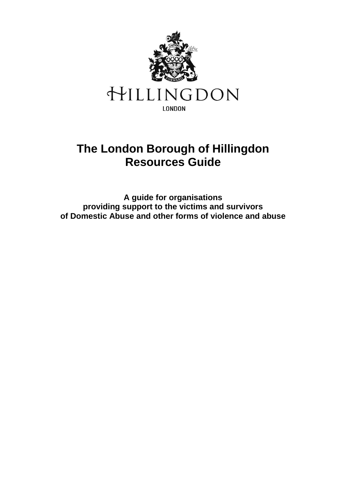

# **The London Borough of Hillingdon Resources Guide**

**A guide for organisations providing support to the victims and survivors of Domestic Abuse and other forms of violence and abuse**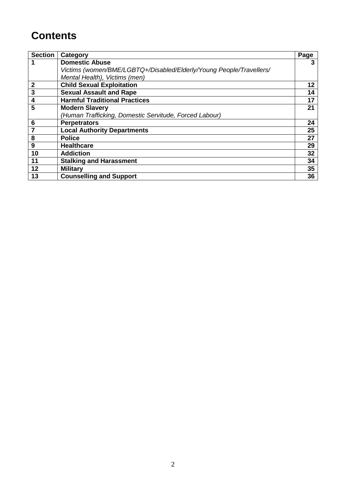# **Contents**

| <b>Section</b> | Category                                                            | <b>Page</b> |
|----------------|---------------------------------------------------------------------|-------------|
|                | <b>Domestic Abuse</b>                                               | 3           |
|                | Victims (women/BME/LGBTQ+/Disabled/Elderly/Young People/Travellers/ |             |
|                | Mental Health), Victims (men)                                       |             |
| $\overline{2}$ | <b>Child Sexual Exploitation</b>                                    | 12          |
| $\mathbf{3}$   | <b>Sexual Assault and Rape</b>                                      | 14          |
| 4              | <b>Harmful Traditional Practices</b>                                | 17          |
| 5              | <b>Modern Slavery</b>                                               | 21          |
|                | (Human Trafficking, Domestic Servitude, Forced Labour)              |             |
| 6              | <b>Perpetrators</b>                                                 | 24          |
| $\overline{7}$ | <b>Local Authority Departments</b>                                  | 25          |
| 8              | <b>Police</b>                                                       | 27          |
| 9              | <b>Healthcare</b>                                                   | 29          |
| 10             | <b>Addiction</b>                                                    | 32          |
| 11             | <b>Stalking and Harassment</b>                                      | 34          |
| 12             | <b>Military</b>                                                     | 35          |
| 13             | <b>Counselling and Support</b>                                      | 36          |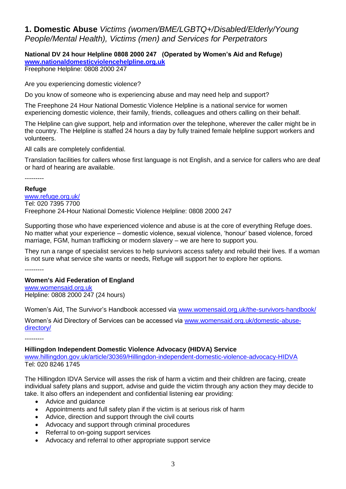# **1. Domestic Abuse** *Victims (women/BME/LGBTQ+/Disabled/Elderly/Young People/Mental Health), Victims (men) and Services for Perpetrators*

# **National DV 24 hour Helpline 0808 2000 247 (Operated by Women's Aid and Refuge) [www.nationaldomesticviolencehelpline.org.uk](http://www.nationaldomesticviolencehelpline.org.uk/)**

Freephone Helpline: 0808 2000 247

Are you experiencing domestic violence?

Do you know of someone who is experiencing abuse and may need help and support?

The Freephone 24 Hour National Domestic Violence Helpline is a national service for women experiencing domestic violence, their family, friends, colleagues and others calling on their behalf.

The Helpline can give support, help and information over the telephone, wherever the caller might be in the country. The Helpline is staffed 24 hours a day by fully trained female helpline support workers and volunteers.

All calls are completely confidential.

Translation facilities for callers whose first language is not English, and a service for callers who are deaf or hard of hearing are available.

---------

### **Refuge**

[www.refuge.org.uk/](http://www.refuge.org.uk/) Tel: 020 7395 7700 Freephone 24-Hour National Domestic Violence Helpline: 0808 2000 247

Supporting those who have experienced violence and abuse is at the core of everything Refuge does. No matter what your experience – domestic violence, sexual violence, 'honour' based violence, forced marriage, FGM, human trafficking or modern slavery – we are here to support you.

They run a range of specialist services to help survivors access safety and rebuild their lives. If a woman is not sure what service she wants or needs, Refuge will support her to explore her options.

---------

# **Women's Aid Federation of England**

[www.womensaid.org.uk](http://www.womensaid.org.uk/) Helpline: 0808 2000 247 (24 hours)

Women's Aid, The Survivor's Handbook accessed via [www.womensaid.org.uk/the-survivors-handbook/](http://www.womensaid.org.uk/the-survivors-handbook/)

Women's Aid Directory of Services can be accessed via [www.womensaid.org.uk/domestic-abuse](http://www.womensaid.org.uk/domestic-abuse-directory/)[directory/](http://www.womensaid.org.uk/domestic-abuse-directory/)

---------

### **Hillingdon Independent Domestic Violence Advocacy (HIDVA) Service**

[www.hillingdon.gov.uk/article/30369/Hillingdon-independent-domestic-violence-advocacy-HIDVA](https://www.hillingdon.gov.uk/article/30369/Hillingdon-independent-domestic-violence-advocacy-HIDVA) Tel: 020 8246 1745

The Hillingdon IDVA Service will asses the risk of harm a victim and their children are facing, create individual [safety plans](javascript:LBH_PBAway() and support, advise and guide the victim through any action they may decide to take. It also offers an independent and confidential listening ear providing:

- Advice and guidance
- Appointments and full safety plan if the victim is at serious risk of harm
- Advice, direction and support through the civil courts
- Advocacy and support through criminal procedures
- Referral to on-going support services
- Advocacy and referral to other appropriate support service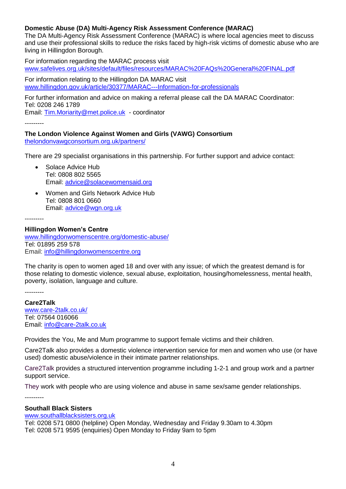# **Domestic Abuse (DA) Multi-Agency Risk Assessment Conference (MARAC)**

The DA Multi-Agency Risk Assessment Conference (MARAC) is where local agencies meet to discuss and use their professional skills to reduce the risks faced by high-risk victims of domestic abuse who are living in Hillingdon Borough.

For information regarding the MARAC process visit www.safelives.org.uk/sites/default/files/resources/MARAC%20FAQs%20General%20FINAL.pdf

For information relating to the Hillingdon DA MARAC visit [www.hillingdon.gov.uk/article/30377/MARAC---Information-for-professionals](http://www.hillingdon.gov.uk/article/30377/MARAC---Information-for-professionals)

For further information and advice on making a referral please call the DA MARAC Coordinator: Tel: 0208 246 1789 Email: [Tim.Moriarity@met.police.uk](mailto:Tim.Moriarity@met.police.uk) - coordinator

---------

### **The London Violence Against Women and Girls (VAWG) Consortium** [thelondonvawgconsortium.org.uk/partners/](https://thelondonvawgconsortium.org.uk/partners/)

There are 29 specialist organisations in this partnership. For further support and advice contact:

- Solace Advice Hub Tel: 0808 802 5565 Email: [advice@solacewomensaid.org](mailto:advice@solacewomensaid.org)
- Women and Girls Network Advice Hub Tel: 0808 801 0660 Email: [advice@wgn.org.uk](mailto:advice@wgn.org.uk)

---------

### **Hillingdon Women's Centre**

[www.hillingdonwomenscentre.org/domestic-abuse/](http://www.hillingdonwomenscentre.org/domestic-abuse/) Tel: 01895 259 578 Email: [info@hillingdonwomenscentre.org](mailto:info@hillingdonwomenscentre.org)

The charity is open to women aged 18 and over with any issue; of which the greatest demand is for those relating to domestic violence, sexual abuse, exploitation, housing/homelessness, mental health, poverty, isolation, language and culture.

---------

**Care2Talk**

[www.care-2talk.co.uk/](http://www.care-2talk.co.uk/) Tel: 07564 016066 Email: [info@care-2talk.co.uk](mailto:info@care-2talk.co.uk)

Provides the You, Me and Mum programme to support female victims and their children.

Care2Talk also provides a domestic violence intervention service for men and women who use (or have used) domestic abuse/violence in their intimate partner relationships.

Care2Talk provides a structured intervention programme including 1-2-1 and group work and a partner support service.

They work with people who are using violence and abuse in same sex/same gender relationships.

---------

#### **Southall Black Sisters**

[www.southallblacksisters.org.uk](http://www.southallblacksisters.org.uk/) Tel: 0208 571 0800 (helpline) Open Monday, Wednesday and Friday 9.30am to 4.30pm Tel: 0208 571 9595 (enquiries) Open Monday to Friday 9am to 5pm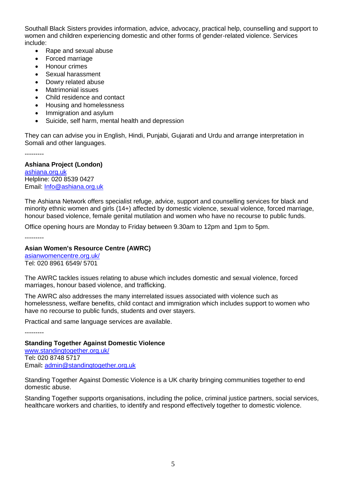Southall Black Sisters provides information, advice, advocacy, practical help, counselling and support to women and children experiencing domestic and other forms of gender-related violence. Services include:

- Rape and sexual abuse
- Forced marriage
- Honour crimes
- Sexual harassment
- Dowry related abuse
- Matrimonial issues
- Child residence and contact
- Housing and homelessness
- Immigration and asylum
- Suicide, self harm, mental health and depression

They can can advise you in English, Hindi, Punjabi, Gujarati and Urdu and arrange interpretation in Somali and other languages.

---------

# **Ashiana Project (London)**

[ashiana.org.uk](http://ashiana.org.uk/) Helpline: 020 8539 0427 Email: [Info@ashiana.org.uk](mailto:Info@ashiana.org.uk)

The Ashiana Network offers specialist refuge, advice, support and counselling services for black and minority ethnic women and girls (14+) affected by domestic violence, sexual violence, forced marriage, honour based violence, female genital mutilation and women who have no recourse to public funds.

Office opening hours are Monday to Friday between 9.30am to 12pm and 1pm to 5pm.

---------

---------

# **Asian Women's Resource Centre (AWRC)**

[asianwomencentre.org.uk/](http://asianwomencentre.org.uk/) Tel: 020 8961 6549/ 5701

The AWRC tackles issues relating to abuse which includes domestic and sexual violence, forced marriages, honour based violence, and trafficking.

The AWRC also addresses the many interrelated issues associated with violence such as homelessness, welfare benefits, child contact and immigration which includes support to women who have no recourse to public funds, students and over stayers.

Practical and same language services are available.

**Standing Together Against Domestic Violence** [www.standingtogether.org.uk/](http://www.standingtogether.org.uk/) Tel**:** 020 8748 5717 Email**:** [admin@standingtogether.org.uk](mailto:admin@standingtogether.org.uk)

Standing Together Against Domestic Violence is a UK charity bringing communities together to end domestic abuse.

Standing Together supports organisations, including the police, criminal justice partners, social services, healthcare workers and charities, to identify and respond effectively together to domestic violence.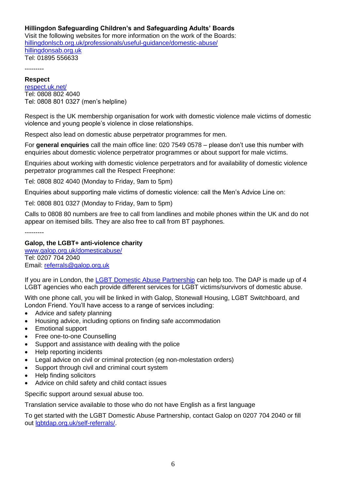# **Hillingdon Safeguarding Children's and Safeguarding Adults' Boards**

Visit the following websites for more information on the work of the Boards: [hillingdonlscb.org.uk/professionals/useful-guidance/domestic-abuse/](https://hillingdonlscb.org.uk/professionals/useful-guidance/domestic-abuse/) [hillingdonsab.org.uk](https://hillingdonsab.org.uk/) Tel: 01895 556633

---------

# **Respect**

[respect.uk.net/](http://respect.uk.net/) Tel: 0808 802 4040 Tel: 0808 801 0327 (men's helpline)

Respect is the UK membership organisation for work with domestic violence male victims of domestic violence and young people's violence in close relationships.

Respect also lead on domestic abuse perpetrator programmes for men.

For **general enquiries** call the main office line: 020 7549 0578 – please don't use this number with enquiries about domestic violence perpetrator programmes or about support for male victims.

Enquiries about working with domestic violence perpetrators and for availability of domestic violence perpetrator programmes call the Respect Freephone:

Tel: 0808 802 4040 (Monday to Friday, 9am to 5pm)

Enquiries about supporting male victims of domestic violence: call the Men's Advice Line on:

Tel: 0808 801 0327 (Monday to Friday, 9am to 5pm)

Calls to 0808 80 numbers are free to call from landlines and mobile phones within the UK and do not appear on itemised bills. They are also free to call from BT payphones.

---------

### **Galop, the LGBT+ anti-violence charity**

[www.galop.org.uk/domesticabuse/](http://www.galop.org.uk/domesticabuse/) Tel: 0207 704 2040 Email: [referrals@galop.org.uk](mailto:referrals@galop.org.uk)

If you are in London, the [LGBT Domestic Abuse Partnership](http://lgbtdap.org.uk/) can help too. The DAP is made up of 4 LGBT agencies who each provide different services for LGBT victims/survivors of domestic abuse.

With one phone call, you will be linked in with Galop, Stonewall Housing, LGBT Switchboard, and London Friend. You'll have access to a range of services including:

- Advice and safety planning
- Housing advice, including options on finding safe accommodation
- Emotional support
- Free one-to-one Counselling
- Support and assistance with dealing with the police
- Help reporting incidents
- Legal advice on civil or criminal protection (eg non-molestation orders)
- Support through civil and criminal court system
- Help finding solicitors
- Advice on child safety and child contact issues

Specific support around sexual abuse too.

Translation service available to those who do not have English as a first language

To get started with the LGBT Domestic Abuse Partnership, contact Galop on 0207 704 2040 or fill out [lgbtdap.org.uk/self-referrals/.](http://lgbtdap.org.uk/self-referrals/)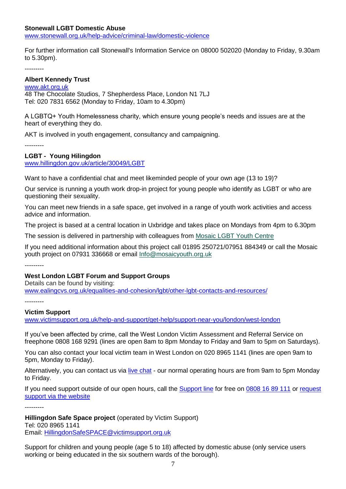### **Stonewall LGBT Domestic Abuse**

[www.stonewall.org.uk/help-advice/criminal-law/domestic-violence](http://www.stonewall.org.uk/help-advice/criminal-law/domestic-violence)

For further information call Stonewall's Information Service on 08000 502020 (Monday to Friday, 9.30am to 5.30pm).

---------

### **Albert Kennedy Trust**

[www.akt.org.uk](http://www.akt.org.uk/) 48 The Chocolate Studios, 7 Shepherdess Place, London N1 7LJ Tel: 020 7831 6562 (Monday to Friday, 10am to 4.30pm)

A LGBTQ+ Youth Homelessness charity, which ensure young people's needs and issues are at the heart of everything they do.

AKT is involved in youth engagement, consultancy and campaigning.

---------

#### **LGBT - Young Hilingdon**

[www.hillingdon.gov.uk/article/30049/LGBT](http://www.hillingdon.gov.uk/article/30049/LGBT)

Want to have a confidential chat and meet likeminded people of your own age (13 to 19)?

Our service is running a youth work drop-in project for young people who identify as LGBT or who are questioning their sexuality.

You can meet new friends in a safe space, get involved in a range of youth work activities and access advice and information.

The project is based at a central location in Uxbridge and takes place on Mondays from 4pm to 6.30pm

The session is delivered in partnership with colleagues from [Mosaic LGBT Youth Centre](http://www.mosaicyouth.org.uk/index.php#.Ud0--j526Jc)

If you need additional information about this project call 01895 250721/07951 884349 or call the Mosaic youth project on 07931 336668 or email [Info@mosaicyouth.org.uk](mailto:Info@mosaicyouth.org.uk)

---------

### **West London LGBT Forum and Support Groups**

Details can be found by visiting: [www.ealingcvs.org.uk/equalities-and-cohesion/lgbt/other-lgbt-contacts-and-resources/](http://www.ealingcvs.org.uk/equalities-and-cohesion/lgbt/other-lgbt-contacts-and-resources/)

---------

#### **Victim Support**

[www.victimsupport.org.uk/help-and-support/get-help/support-near-you/london/west-london](http://www.victimsupport.org.uk/help-and-support/get-help/support-near-you/london/west-london)

If you've been affected by crime, call the West London Victim Assessment and Referral Service on freephone 0808 168 9291 (lines are open 8am to 8pm Monday to Friday and 9am to 5pm on Saturdays).

You can also contact your local victim team in West London on 020 8965 1141 (lines are open 9am to 5pm, Monday to Friday).

Alternatively, you can contact us via [live chat](https://www.victimsupport.org.uk/help-and-support/get-help/support-near-you/live-chat) - our normal operating hours are from 9am to 5pm Monday to Friday.

If you need support outside of our open hours, call the **[Support line](https://www.victimsupport.org.uk/help-and-support/get-help/supportline)** for free on [0808 16 89 111](tel:08%2008%2016%2089%20111) or request [support via the](https://www.victimsupport.org.uk/help-and-support/get-help/request-support) website

---------

 **Hillingdon Safe Space project** (operated by Victim Support) Tel: 020 8965 1141 Email: [HillingdonSafeSPACE@victimsupport.org.uk](mailto:HillingdonSafeSPACE@victimsupport.org.uk)

Support for children and young people (age 5 to 18) affected by domestic abuse (only service users working or being educated in the six southern wards of the borough).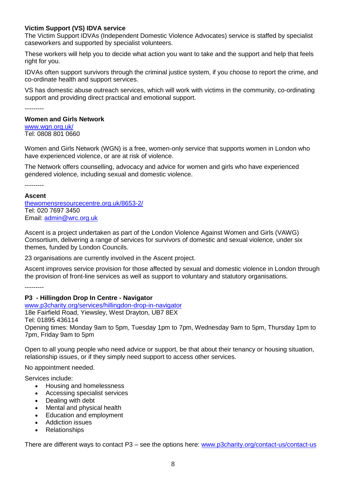# **Victim Support (VS) IDVA service**

The Victim Support IDVAs (Independent Domestic Violence Advocates) service is staffed by specialist caseworkers and supported by specialist volunteers.

These workers will help you to decide what action you want to take and the support and help that feels right for you.

IDVAs often support survivors through the criminal justice system, if you choose to report the crime, and co-ordinate health and support services.

VS has domestic abuse outreach services, which will work with victims in the community, co-ordinating support and providing direct practical and emotional support.

---------

### **Women and Girls Network**

[www.wgn.org.uk/](http://www.wgn.org.uk/) Tel: 0808 801 0660

Women and Girls Network (WGN) is a free, women-only service that supports women in London who have experienced violence, or are at risk of violence.

The Network offers counselling, advocacy and advice for women and girls who have experienced gendered violence, including sexual and domestic violence.

---------

### **Ascent**

[thewomensresourcecentre.org.uk/8653-2/](https://thewomensresourcecentre.org.uk/8653-2/) Tel: 020 7697 3450 Email: [admin@wrc.org.uk](mailto:admin@wrc.org.uk)

Ascent is a project undertaken as part of the London Violence Against Women and Girls (VAWG) Consortium, delivering a range of services for survivors of domestic and sexual violence, under six themes, funded by London Councils.

23 organisations are currently involved in the Ascent project.

Ascent improves service provision for those affected by sexual and domestic violence in London through the provision of front-line services as well as support to voluntary and statutory organisations.

---------

### **P3 - Hillingdon Drop In Centre - Navigator**

[www.p3charity.org/services/hillingdon-drop-in-navigator](http://www.p3charity.org/services/hillingdon-drop-in-navigator) 18e Fairfield Road, Yiewsley, West Drayton, UB7 8EX Tel: 01895 436114 Opening times: Monday 9am to 5pm, Tuesday 1pm to 7pm, Wednesday 9am to 5pm, Thursday 1pm to 7pm, Friday 9am to 5pm

Open to all young people who need advice or support, be that about their tenancy or housing situation, relationship issues, or if they simply need support to access other services.

No appointment needed.

Services include:

- Housing and homelessness
- Accessing specialist services
- Dealing with debt
- Mental and physical health
- Education and employment
- Addiction issues
- Relationships

There are different ways to contact P3 – see the options here: [www.p3charity.org/contact-us/contact-us](http://www.p3charity.org/contact-us/contact-us)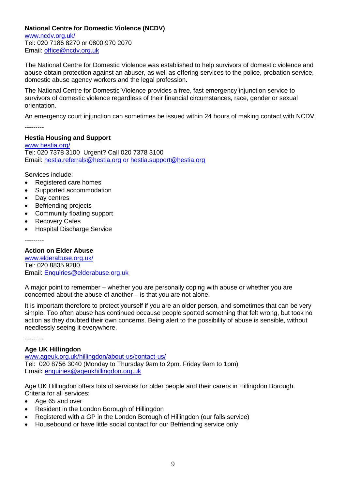# **National Centre for Domestic Violence (NCDV)**

[www.ncdv.org.uk/](http://www.ncdv.org.uk/) Tel: 020 7186 8270 or 0800 970 2070 Email: [office@ncdv.org.uk](mailto:office@ncdv.org.uk)

The National Centre for Domestic Violence was established to help survivors of domestic violence and abuse obtain protection against an abuser, as well as offering services to the police, probation service, domestic abuse agency workers and the legal profession.

The National Centre for Domestic Violence provides a free, fast emergency injunction service to survivors of domestic violence regardless of their financial circumstances, race, gender or sexual orientation.

An emergency court injunction can sometimes be issued within 24 hours of making contact with NCDV.

---------

# **Hestia Housing and Support**

[www.hestia.org/](http://www.hestia.org/) Tel: 020 7378 3100 Urgent? Call 020 7378 3100 Email: [hestia.referrals@hestia.org](mailto:hestia.referrals@hestia.org) or [hestia.support@hestia.org](mailto:hestia.support@hestia.org)

Services include:

- Registered care homes
- Supported accommodation
- Day centres
- Befriending projects
- Community floating support
- Recovery Cafes
- Hospital Discharge Service

---------

# **Action on Elder Abuse**

[www.elderabuse.org.uk/](http://www.elderabuse.org.uk/) Tel: 020 8835 9280 Email: [Enquiries@elderabuse.org.uk](mailto:Enquiries@elderabuse.org.uk)

A major point to remember – whether you are personally coping with abuse or whether you are concerned about the abuse of another – is that you are not alone.

It is important therefore to protect yourself if you are an older person, and sometimes that can be very simple. Too often abuse has continued because people spotted something that felt wrong, but took no action as they doubted their own concerns. Being alert to the possibility of abuse is sensible, without needlessly seeing it everywhere.

---------

# **Age UK Hillingdon**

[www.ageuk.org.uk/hillingdon/about-us/contact-us/](http://www.ageuk.org.uk/hillingdon/about-us/contact-us/) Tel: 020 8756 3040 (Monday to Thursday 9am to 2pm. Friday 9am to 1pm) Email**:** [enquiries@ageukhillingdon.org.uk](mailto:enquiries@ageukhillingdon.org.uk)

Age UK Hillingdon offers lots of services for older people and their carers in Hillingdon Borough. Criteria for all services:

- Age 65 and over
- Resident in the London Borough of Hillingdon
- Registered with a GP in the London Borough of Hillingdon (our falls service)
- Housebound or have little social contact for our Befriending service only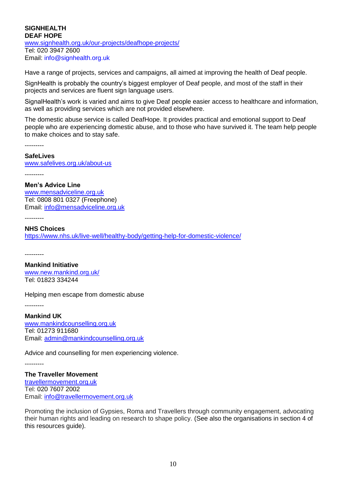### **SIGNHEALTH DEAF HOPE** [www.signhealth.org.uk/our-projects/deafhope-projects/](http://www.signhealth.org.uk/our-projects/deafhope-projects/) Tel: 020 3947 2600 Email: [info@signhealth.org.uk](mailto:info@signhealth.org.uk)

Have a range of projects, services and campaigns, all aimed at improving the health of Deaf people.

SignHealth is probably the country's biggest employer of Deaf people, and most of the staff in their projects and services are fluent sign language users.

SignalHealth's work is varied and aims to give Deaf people easier access to healthcare and information, as well as providing services which are not provided elsewhere.

The domestic abuse service is called DeafHope. It provides practical and emotional support to Deaf people who are experiencing domestic abuse, and to those who have survived it. The team help people to make choices and to stay safe.

---------

**SafeLives** [www.safelives.org.uk/about-us](http://www.safelives.org.uk/about-us) ---------

### **Men's Advice Line**

[www.mensadviceline.org.uk](http://www.mensadviceline.org.uk/) Tel: 0808 801 0327 (Freephone) Email: [info@mensadviceline.org.uk](mailto:info@mensadviceline.org.uk)

---------

### **NHS Choices**  <https://www.nhs.uk/live-well/healthy-body/getting-help-for-domestic-violence/>

---------

**Mankind Initiative** [www.new.mankind.org.uk/](http://www.new.mankind.org.uk/)  Tel: 01823 334244

Helping men escape from domestic abuse

---------

**Mankind UK** [www.mankindcounselling.org.uk](http://www.mankindcounselling.org.uk/) Tel: 01273 911680 Email: [admin@mankindcounselling.org.uk](mailto:admin@mankindcounselling.org.uk)

Advice and counselling for men experiencing violence.

---------

# **The Traveller Movement**

[travellermovement.org.uk](https://travellermovement.org.uk/) Tel: 020 [7607](tel:/02076072002) 2002 Email: [info@travellermovement.org.uk](mailto:info@travellermovement.org.uk)

Promoting the inclusion of Gypsies, Roma and Travellers through community engagement, advocating their human rights and leading on research to shape policy. (See also the organisations in section 4 of this resources guide).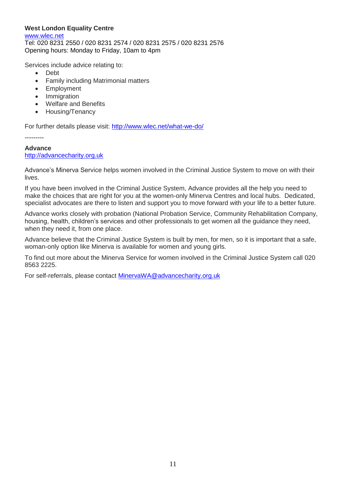# **West London Equality Centre**

[www.wlec.net](http://www.wlec.net/) Tel: 020 8231 2550 / 020 8231 2574 / 020 8231 2575 / 020 8231 2576 Opening hours: Monday to Friday, 10am to 4pm

Services include advice relating to:

- Debt
- Family including Matrimonial matters
- Employment
- Immigration
- Welfare and Benefits
- Housing/Tenancy

For further details please visit:<http://www.wlec.net/what-we-do/>

---------

# **Advance**

### [http://advancecharity.org.uk](http://advancecharity.org.uk/)

Advance's Minerva Service helps women involved in the Criminal Justice System to move on with their lives.

If you have been involved in the Criminal Justice System, Advance provides all the help you need to make the choices that are right for you at the women-only Minerva Centres and local hubs. Dedicated, specialist advocates are there to listen and support you to move forward with your life to a better future.

Advance works closely with probation (National Probation Service, Community Rehabilitation Company, housing, health, children's services and other professionals to get women all the guidance they need, when they need it, from one place.

Advance believe that the Criminal Justice System is built by men, for men, so it is important that a safe, woman-only option like Minerva is available for women and young girls.

To find out more about the Minerva Service for women involved in the Criminal Justice System call 020 8563 2225.

For self-referrals, please contact [MinervaWA@advancecharity.org.uk](mailto:MinervaWA@advancecharity.org.uk)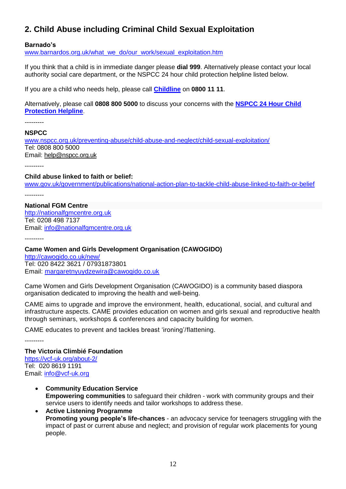# **2. Child Abuse including Criminal Child Sexual Exploitation**

### **Barnado's**

[www.barnardos.org.uk/what\\_we\\_do/our\\_work/sexual\\_exploitation.htm](http://www.barnardos.org.uk/what_we_do/our_work/sexual_exploitation.htm)

If you think that a child is in immediate danger please **dial 999**. Alternatively please contact your local authority social care department, or the NSPCC 24 hour child protection helpline listed below.

If you are a child who needs help, please call **[Childline](http://www.childline.org.uk/Pages/Home.aspx)** on **0800 11 11**.

Alternatively, please call **0808 800 5000** to discuss your concerns with the **[NSPCC 24 Hour Child](http://www.nspcc.org.uk/helpandadvice/nspcchelpline/nspcchelplines_wda59025.html)  [Protection Helpline](http://www.nspcc.org.uk/helpandadvice/nspcchelpline/nspcchelplines_wda59025.html)**.

---------

**NSPCC**

[www.nspcc.org.uk/preventing-abuse/child-abuse-and-neglect/child-sexual-exploitation/](http://www.nspcc.org.uk/preventing-abuse/child-abuse-and-neglect/child-sexual-exploitation/) Tel: [0808 800 5000](tel:/08088005000) Email: [help@nspcc.org.uk](mailto:help@nspcc.org.uk)

**Child abuse linked to faith or belief:**

[www.gov.uk/government/publications/national-action-plan-to-tackle-child-abuse-linked-to-faith-or-belief](http://www.gov.uk/government/publications/national-action-plan-to-tackle-child-abuse-linked-to-faith-or-belief) ---------

**National FGM Centre** [http://nationalfgmcentre.org.uk](http://nationalfgmcentre.org.uk/) Tel: 0208 498 7137 Email: [info@nationalfgmcentre.org.uk](mailto:info@nationalfgmcentre.org.uk)

---------

**Came Women and Girls Development Organisation (CAWOGIDO)**

<http://cawogido.co.uk/new/> Tel: 020 8422 3621 / 07931873801 Email: [margaretnyuydzewira@cawogido.co.uk](mailto:margaretnyuydzewira@cawogido.co.uk)

Came Women and Girls Development Organisation (CAWOGIDO) is a community based diaspora organisation dedicated to improving the health and well-being.

CAME aims to upgrade and improve the environment, health, educational, social, and cultural and infrastructure aspects. CAME provides education on women and girls sexual and reproductive health through seminars, workshops & conferences and capacity building for women.

CAME educates to prevent and tackles breast 'ironing'/flattening.

---------

# **The Victoria Climbié Foundation**

<https://vcf-uk.org/about-2/> Tel: 020 8619 1191 Email: [info@vcf-uk.org](mailto:info@vcf-uk.org)

- **Community Education Service Empowering communities** to safeguard their children - work with community groups and their service users to identify needs and tailor workshops to address these.
- **Active Listening Programme Promoting young people's life-chances** - an advocacy service for teenagers struggling with the impact of past or current abuse and neglect; and provision of regular work placements for young people.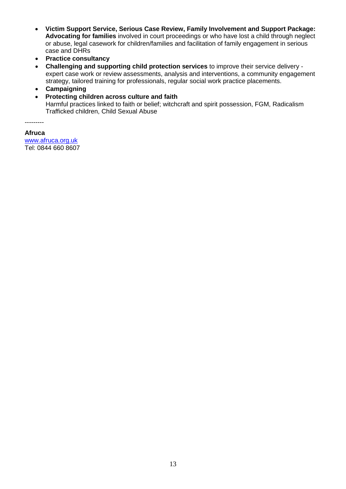- **Victim Support Service, Serious Case Review, Family Involvement and Support Package: Advocating for families** involved in court proceedings or who have lost a child through neglect or abuse, legal casework for children/families and facilitation of family engagement in serious case and DHRs
- **Practice consultancy**
- **Challenging and supporting child protection services** to improve their service delivery expert case work or review assessments, analysis and interventions, a community engagement strategy, tailored training for professionals, regular social work practice placements.
- **Campaigning**
- **Protecting children across culture and faith** Harmful practices linked to faith or belief; witchcraft and spirit possession, FGM, Radicalism Trafficked children, Child Sexual Abuse

---------

**Afruca** [www.afruca.org.uk](http://www.afruca.org.uk/) Tel: 0844 660 8607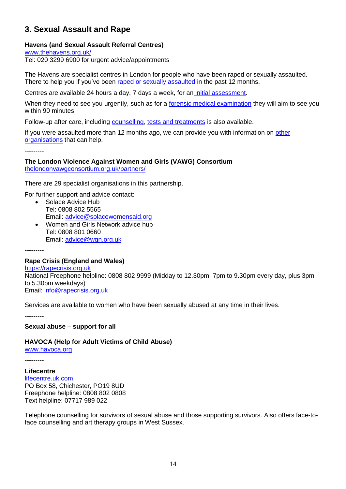# **3. Sexual Assault and Rape**

# **Havens (and Sexual Assault Referral Centres)**

[www.thehavens.org.uk/](http://www.thehavens.org.uk/)

Tel: [020 3299 6900](tel:020%203299%206900) for urgent advice/appointments

The Havens are specialist centres in London for people who have been raped or sexually assaulted. There to help you if you've been [raped or sexually assaulted](https://www.thehavens.org.uk/how-we-can-help/what-is-rape-sexual-assault/) in the past 12 months.

Centres are available 24 hours a day, 7 days a week, for an [initial assessment.](https://www.thehavens.org.uk/visiting-us/making-an-appointment/)

When they need to see you urgently, such as for a [forensic medical examination](https://www.thehavens.org.uk/visiting-us/what-happens-at-the-havens/forensic-examination/) they will aim to see you within 90 minutes.

Follow-up after care, including [counselling,](https://www.thehavens.org.uk/visiting-us/follow-up-care/#Emotionalsupport-1) [tests and treatments](https://www.thehavens.org.uk/visiting-us/follow-up-care/#Testsandtreatments-0) is also available.

If you were assaulted more than 12 months ago, we can provide you with information on [other](https://www.thehavens.org.uk/visiting-us/external-support/)  [organisations](https://www.thehavens.org.uk/visiting-us/external-support/) that can help.

---------

**The London Violence Against Women and Girls (VAWG) Consortium** [thelondonvawgconsortium.org.uk/partners/](https://thelondonvawgconsortium.org.uk/partners/)

There are 29 specialist organisations in this partnership.

For further support and advice contact:

- Solace Advice Hub Tel: 0808 802 5565 Email: [advice@solacewomensaid.org](mailto:advice@solacewomensaid.org)
- Women and Girls Network advice hub Tel: 0808 801 0660 Email: [advice@wgn.org.uk](mailto:advice@wgn.org.uk)

---------

### **Rape Crisis (England and Wales)**

[https://rapecrisis.org.uk](https://rapecrisis.org.uk/) National Freephone helpline: 0808 802 9999 (Midday to 12.30pm, 7pm to 9.30pm every day, plus 3pm to 5.30pm weekdays) Email: [info@rapecrisis.org.uk](mailto:info@rapecrisis.org.uk)

Services are available to women who have been sexually abused at any time in their lives.

---------

**Sexual abuse – support for all**

### **HAVOCA (Help for Adult Victims of Child Abuse)**

[www.havoca.org](http://www.havoca.org/)

**Lifecentre** [lifecentre.uk.com](http://www.lifecentre.uk.com/) PO Box 58, Chichester, PO19 8UD Freephone helpline: 0808 802 0808 Text helpline: 07717 989 022

Telephone counselling for survivors of sexual abuse and those supporting survivors. Also offers face-toface counselling and art therapy groups in West Sussex.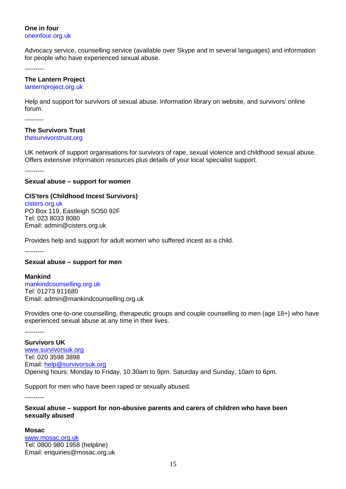### **One in four** [oneinfour.org.uk](http://www.oneinfour.org.uk/)

Advocacy service, counselling service (available over Skype and in several languages) and information for people who have experienced sexual abuse.

---------

### **The Lantern Project**

### [lanternproject.org.uk](http://www.lanternproject.org.uk/)

Help and support for survivors of sexual abuse. Information library on website, and survivors' online forum.

---------

# **The Survivors Trust**

[thesurvivorstrust.org](http://thesurvivorstrust.org/)

UK network of support organisations for survivors of rape, sexual violence and childhood sexual abuse. Offers extensive information resources plus details of your local specialist support.

---------

### **Sexual abuse – support for women**

### **CIS'ters (Childhood Incest Survivors)**

[cisters.org.uk](http://www.cisters.org.uk/) PO Box 119, Eastleigh SO50 92F Tel: 023 8033 8080 Email: [admin@cisters.org.uk](mailto:admin@cisters.org.uk)

Provides help and support for adult women who suffered incest as a child.

---------

### **Sexual abuse – support for men**

**Mankind** [mankindcounselling.org.uk](http://www.mankindcounselling.org.uk/) Tel: 01273 911680 Email: [admin@mankindcounselling.org.uk](mailto:admin@mankindcounselling.org.uk)

Provides one-to-one counselling, therapeutic groups and couple counselling to men (age 18+) who have experienced sexual abuse at any time in their lives.

---------

**Survivors UK** [www.survivorsuk.org](http://www.survivorsuk.org/) Tel: 020 3598 3898 Email: [help@survivorsuk.org](mailto:help@survivorsuk.org)  Opening hours: Monday to Friday, 10.30am to 9pm. Saturday and Sunday, 10am to 6pm.

Support for men who have been raped or sexually abused.

---------

### **Sexual abuse – support for non-abusive parents and carers of children who have been sexually abused**

**Mosac**

[www.mosac.org.uk](http://www.mosac.org.uk/) Tel: 0800 980 1958 (helpline) Email: [enquiries@mosac.org.uk](mailto:enquiries@mosac.org.uk)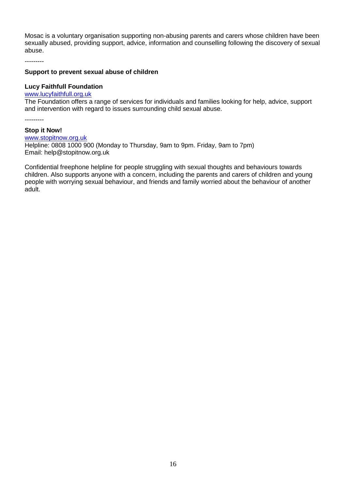Mosac is a voluntary organisation supporting non-abusing parents and carers whose children have been sexually abused, providing support, advice, information and counselling following the discovery of sexual abuse.

---------

### **Support to prevent sexual abuse of children**

### **Lucy Faithfull Foundation**

[www.lucyfaithfull.org.uk](http://www.lucyfaithfull.org.uk/)

The Foundation offers a range of services for individuals and families looking for help, advice, support and intervention with regard to issues surrounding child sexual abuse.

---------

### **Stop it Now!**

[www.stopitnow.org.uk](http://www.stopitnow.org.uk/) Helpline: 0808 1000 900 (Monday to Thursday, 9am to 9pm. Friday, 9am to 7pm) Email: [help@stopitnow.org.uk](mailto:help@stopitnow.org.uk)

Confidential freephone helpline for people struggling with sexual thoughts and behaviours towards children. Also supports anyone with a concern, including the parents and carers of children and young people with worrying sexual behaviour, and friends and family worried about the behaviour of another adult.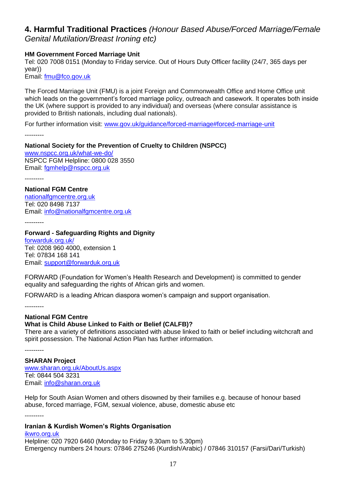# **4. Harmful Traditional Practices** *(Honour Based Abuse/Forced Marriage/Female*

*Genital Mutilation/Breast Ironing etc)*

# **HM Government Forced Marriage Unit**

Tel: 020 7008 0151 (Monday to Friday service. Out of Hours Duty Officer facility (24/7, 365 days per year))

Email: [fmu@fco.gov.uk](mailto:fmu@fco.gov.uk)

The Forced Marriage Unit (FMU) is a joint Foreign and Commonwealth Office and Home Office unit which leads on the government's forced marriage policy, outreach and casework. It operates both inside the UK (where support is provided to any individual) and overseas (where consular assistance is provided to British nationals, including dual nationals).

For further information visit: [www.gov.uk/guidance/forced-marriage#forced-marriage-unit](http://www.gov.uk/guidance/forced-marriage#forced-marriage-unit)

---------

# **National Society for the Prevention of Cruelty to Children (NSPCC)**

[www.nspcc.org.uk/what-we-do/](http://www.nspcc.org.uk/what-we-do/) NSPCC FGM Helpline: 0800 028 3550 Email: [fgmhelp@nspcc.org.uk](mailto:fgmhelp@nspcc.org.uk)

---------

**National FGM Centre** [nationalfgmcentre.org.uk](http://nationalfgmcentre.org.uk/) Tel: 020 8498 7137 Email: [info@nationalfgmcentre.org.uk](mailto:info@nationalfgmcentre.org.uk)

---------

**Forward - Safeguarding Rights and Dignity** [forwarduk.org.uk/](http://forwarduk.org.uk/) Tel: 0208 960 4000, extension 1 Tel: 07834 168 141 Email: [support@forwarduk.org.uk](mailto:support@forwarduk.org.uk)

FORWARD (Foundation for Women's Health Research and Development) is committed to gender equality and safeguarding the rights of African girls and women.

FORWARD is a leading African diaspora women's campaign and support organisation.

---------

#### **National FGM Centre What is Child Abuse Linked to Faith or Belief (CALFB)?**

There are a variety of definitions associated with abuse linked to faith or belief including witchcraft and spirit possession. The National Action Plan has further information.

---------

**SHARAN Project** [www.sharan.org.uk/AboutUs.aspx](http://www.sharan.org.uk/AboutUs.aspx) Tel: 0844 504 3231 Email: [info@sharan.org.uk](javascript:location.href=)

Help for South Asian Women and others disowned by their families e.g. because of honour based abuse, forced marriage, FGM, sexual violence, abuse, domestic abuse etc

---------

# **Iranian & Kurdish Women's Rights Organisation**

[ikwro.org.uk](http://www.ikwro.org.uk/) Helpline: 020 7920 6460 (Monday to Friday 9.30am to 5.30pm) Emergency numbers 24 hours: 07846 275246 (Kurdish/Arabic) / 07846 310157 (Farsi/Dari/Turkish)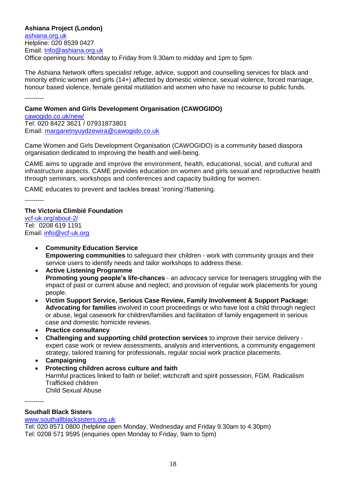**Ashiana Project (London)**  [ashiana.org.uk](http://ashiana.org.uk/) Helpline: 020 8539 0427 Email: [Info@ashiana.org.uk](mailto:Info@ashiana.org.uk) Office opening hours: Monday to Friday from 9.30am to midday and 1pm to 5pm

The Ashiana Network offers specialist refuge, advice, support and counselling services for black and minority ethnic women and girls (14+) affected by domestic violence, sexual violence, forced marriage, honour based violence, female genital mutilation and women who have no recourse to public funds.

---------

### **Came Women and Girls Development Organisation (CAWOGIDO)**

[cawogido.co.uk/new/](http://cawogido.co.uk/new/) Tel: 020 8422 3621 / 07931873801 Email: [margaretnyuydzewira@cawogido.co.uk](mailto:margaretnyuydzewira@cawogido.co.uk)

Came Women and Girls Development Organisation (CAWOGIDO) is a community based diaspora organisation dedicated to improving the health and well-being.

CAME aims to upgrade and improve the environment, health, educational, social, and cultural and infrastructure aspects. CAME provides education on women and girls sexual and reproductive health through seminars, workshops and conferences and capacity building for women.

CAME educates to prevent and tackles breast 'ironing'/flattening.

---------

# **The Victoria Climbié Foundation**

[vcf-uk.org/about-2/](https://vcf-uk.org/about-2/) Tel: 0208 619 1191 Email: [info@vcf-uk.org](mailto:info@vcf-uk.org)

- **Community Education Service Empowering communities** to safeguard their children - work with community groups and their service users to identify needs and tailor workshops to address these.
- **Active Listening Programme Promoting young people's life-chances** - an advocacy service for teenagers struggling with the impact of past or current abuse and neglect; and provision of regular work placements for young people.
- **Victim Support Service, Serious Case Review, Family Involvement & Support Package: Advocating for families** involved in court proceedings or who have lost a child through neglect or abuse, legal casework for children/families and facilitation of family engagement in serious case and domestic homicide reviews.
- **Practice consultancy**
- **Challenging and supporting child protection services** to improve their service delivery expert case work or review assessments, analysis and interventions, a community engagement strategy, tailored training for professionals, regular social work practice placements.
- **Campaigning**
- **Protecting children across culture and faith** Harmful practices linked to faith or belief; witchcraft and spirit possession, FGM, Radicalism Trafficked children Child Sexual Abuse

---------

### **Southall Black Sisters**

[www.southallblacksisters.org.uk](http://www.southallblacksisters.org.uk/)

Tel: 020 8571 0800 (helpline open Monday, Wednesday and Friday 9.30am to 4.30pm) Tel: 0208 571 9595 (enquiries open Monday to Friday, 9am to 5pm)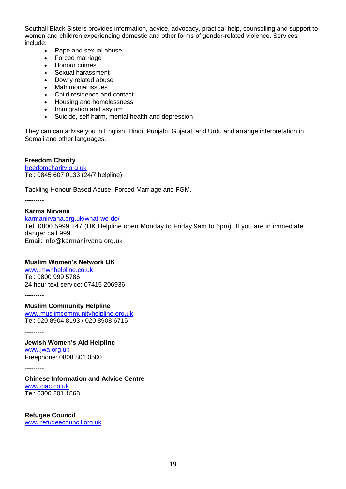Southall Black Sisters provides information, advice, advocacy, practical help, counselling and support to women and children experiencing domestic and other forms of gender-related violence. Services include:

- Rape and sexual abuse
- Forced marriage
- Honour crimes
- Sexual harassment
- Dowry related abuse<br>• Matrimonial issues
- Matrimonial issues
- Child residence and contact
- Housing and homelessness
- Immigration and asylum
- Suicide, self harm, mental health and depression

They can can advise you in English, Hindi, Punjabi, Gujarati and Urdu and arrange interpretation in Somali and other languages.

---------

### **Freedom Charity**

[freedomcharity.org.uk](http://freedomcharity.org.uk/) Tel: 0845 607 0133 (24/7 helpline)

Tackling Honour Based Abuse, Forced Marriage and FGM.

---------

### **Karma Nirvana**

[karmanirvana.org.uk/what-we-do/](https://karmanirvana.org.uk/what-we-do/)

Tel: 0800 5999 247 (UK Helpline open Monday to Friday 9am to 5pm). If you are in immediate danger call 999.

Email: [info@karmanirvana.org.uk](mailto:info@karmanirvana.org.uk)

---------

#### **Muslim Women's Network UK**

[www.mwnhelpline.co.uk](http://www.mwnhelpline.co.uk/) Tel: 0800 999 5786 24 hour text service: 07415 206936

---------

**Muslim Community Helpline** [www.muslimcommunityhelpline.org.uk](http://www.muslimcommunityhelpline.org.uk/) Tel: 020 8904 8193 / 020 8908 6715

---------

**Jewish Women's Aid Helpline** [www.jwa.org.uk](http://www.jwa.org.uk/)  Freephone: 0808 801 0500

---------

**Chinese Information and Advice Centre** [www.ciac.co.uk](http://www.ciac.co.uk/)  Tel: 0300 201 1868

---------

**Refugee Council** [www.refugeecouncil.org.uk](https://www.refugeecouncil.org.uk/)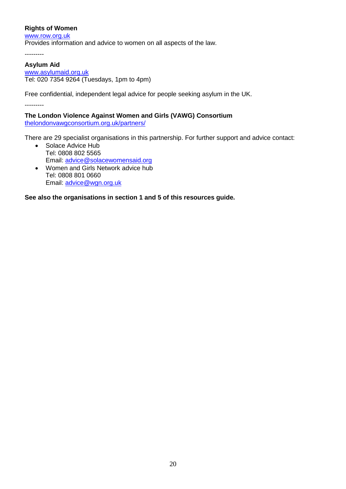# **Rights of Women**

[www.row.org.uk](http://www.row.org.uk/) Provides information and advice to women on all aspects of the law.

---------

# **Asylum Aid**

[www.asylumaid.org.uk](http://www.asylumaid.org.uk/) Tel: 020 7354 9264 (Tuesdays, 1pm to 4pm)

Free confidential, independent legal advice for people seeking asylum in the UK.

---------

**The London Violence Against Women and Girls (VAWG) Consortium** [thelondonvawgconsortium.org.uk/partners/](https://thelondonvawgconsortium.org.uk/partners/)

There are 29 specialist organisations in this partnership. For further support and advice contact:

- Solace Advice Hub Tel: 0808 802 5565 Email: [advice@solacewomensaid.org](mailto:advice@solacewomensaid.org)
- Women and Girls Network advice hub Tel: 0808 801 0660 Email: [advice@wgn.org.uk](mailto:advice@wgn.org.uk)

**See also the organisations in section 1 and 5 of this resources guide.**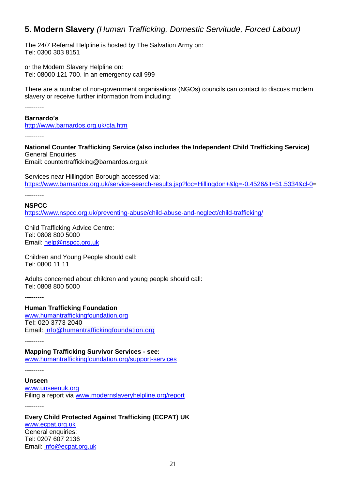# **5. Modern Slavery** *(Human Trafficking, Domestic Servitude, Forced Labour)*

The 24/7 Referral Helpline is hosted by The Salvation Army on: Tel: 0300 303 8151

or the Modern Slavery Helpline on: Tel: 08000 121 700. In an emergency call 999

There are a number of non-government organisations (NGOs) councils can contact to discuss modern slavery or receive further information from including:

---------

### **Barnardo's**

<http://www.barnardos.org.uk/cta.htm>

---------

**National Counter Trafficking Service (also includes the Independent Child Trafficking Service)** General Enquiries Email: [countertrafficking@barnardos.org.uk](mailto:countertrafficking@barnardos.org.uk)

Services near Hillingdon Borough accessed via: [https://www.barnardos.org.uk/service-search-results.jsp?loc=Hillingdon+&lg=-0.4526&lt=51.5334&cl-0=](https://www.barnardos.org.uk/service-search-results.jsp?loc=Hillingdon+&lg=-0.4526<=51.5334&cl-0)

---------

**NSPCC** <https://www.nspcc.org.uk/preventing-abuse/child-abuse-and-neglect/child-trafficking/>

Child Trafficking Advice Centre: Tel: 0808 800 5000 Email: [help@nspcc.org.uk](mailto:help@nspcc.org.uk)

Children and Young People should call: Tel: 0800 11 11

Adults concerned about children and young people should call: Tel: 0808 800 5000

---------

**Human Trafficking Foundation**  [www.humantraffickingfoundation.org](http://www.humantraffickingfoundation.org/) Tel: 020 3773 2040 Email: [info@humantraffickingfoundation.org](mailto:info@humantraffickingfoundation.org)

---------

**Mapping Trafficking Survivor Services - see:** [www.humantraffickingfoundation.org/support-services](http://www.humantraffickingfoundation.org/support-services)

---------

**Unseen** [www.unseenuk.org](http://www.unseenuk.org/) Filing a report via [www.modernslaveryhelpline.org/report](http://www.modernslaveryhelpline.org/report)

---------

**Every Child Protected Against Trafficking (ECPAT) UK** [www.ecpat.org.uk](http://www.ecpat.org.uk/) General enquiries: Tel: 0207 607 2136 Email: [info@ecpat.org.uk](mailto:info@ecpat.org.uk)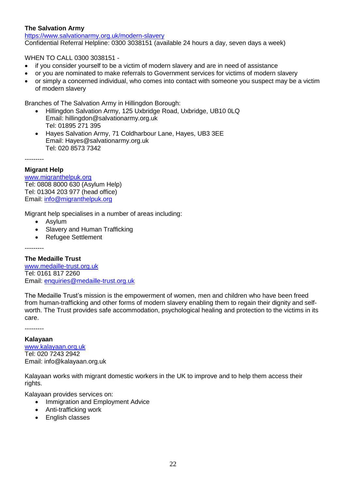# **The Salvation Army**

<https://www.salvationarmy.org.uk/modern-slavery> Confidential Referral Helpline: 0300 3038151 (available 24 hours a day, seven days a week)

WHEN TO CALL 0300 3038151 -

- if you consider yourself to be a victim of modern slavery and are in need of assistance
- or you are nominated to make referrals to Government services for victims of modern slavery
- or simply a concerned individual, who comes into contact with someone you suspect may be a victim of modern slavery

Branches of The Salvation Army in Hillingdon Borough:

- Hillingdon Salvation Army, 125 Uxbridge Road, Uxbridge, UB10 0LQ Email: [hillingdon@salvationarmy.org.uk](mailto:hillingdon@salvationarmy.org.uk) Tel: [01895](tel:01895%20271%20395) 271 395
- Hayes Salvation Army, 71 Coldharbour Lane, Hayes, UB3 3EE Email: [Hayes@salvationarmy.org.uk](mailto:Hayes@salvationarmy.org.uk) Tel: 020 8573 [7342](tel:0208%205737%20342)

---------

# **Migrant Help**

[www.migranthelpuk.org](http://www.migranthelpuk.org/) Tel: 0808 8000 630 (Asylum Help) Tel: 01304 203 977 (head office) Email: [info@migranthelpuk.org](mailto:info@migranthelpuk.org)

Migrant help specialises in a number of areas including:

- Asylum
- Slavery and Human Trafficking
- Refugee Settlement

---------

**The Medaille Trust** 

[www.medaille-trust.org.uk](http://www.medaille-trust.org.uk/) Tel: 0161 817 2260 Email: [enquiries@medaille-trust.org.uk](mailto:enquiries@medaille-trust.org.uk)

The Medaille Trust's mission is the empowerment of women, men and children who have been freed from human-trafficking and other forms of modern slavery enabling them to regain their dignity and selfworth. The Trust provides safe accommodation, psychological healing and protection to the victims in its care.

---------

#### **Kalayaan**

[www.kalayaan.org.uk](http://www.kalayaan.org.uk/) Tel: 020 7243 2942 Email: [info@kalayaan.org.uk](mailto:info@kalayaan.org.uk)

Kalayaan works with migrant domestic workers in the UK to improve and to help them access their rights.

Kalayaan provides services on:

- Immigration and Employment Advice
- Anti-trafficking work
- English classes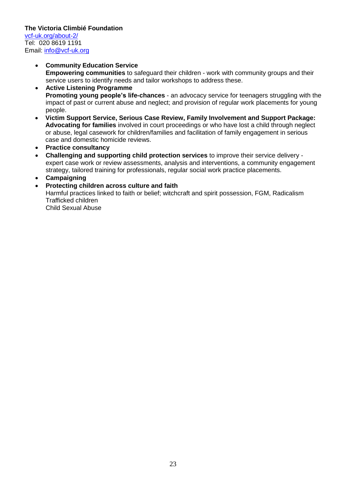# **The Victoria Climbié Foundation**

[vcf-uk.org/about-2/](https://vcf-uk.org/about-2/) Tel: 020 8619 1191 Email: [info@vcf-uk.org](mailto:info@vcf-uk.org)

### **Community Education Service Empowering communities** to safeguard their children - work with community groups and their service users to identify needs and tailor workshops to address these.

- **Active Listening Programme Promoting young people's life-chances** - an advocacy service for teenagers struggling with the impact of past or current abuse and neglect; and provision of regular work placements for young people.
- **Victim Support Service, Serious Case Review, Family Involvement and Support Package: Advocating for families** involved in court proceedings or who have lost a child through neglect or abuse, legal casework for children/families and facilitation of family engagement in serious case and domestic homicide reviews.
- **Practice consultancy**
- **Challenging and supporting child protection services** to improve their service delivery expert case work or review assessments, analysis and interventions, a community engagement strategy, tailored training for professionals, regular social work practice placements.
- **Campaigning**
- **Protecting children across culture and faith**

Harmful practices linked to faith or belief; witchcraft and spirit possession, FGM, Radicalism Trafficked children

Child Sexual Abuse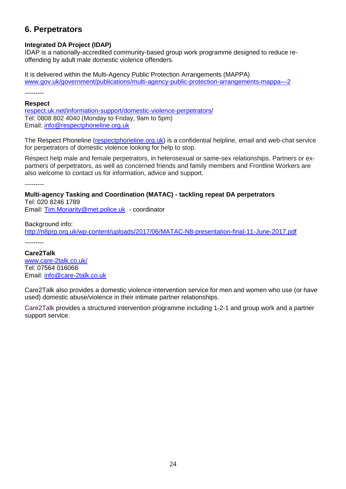# **6. Perpetrators**

# **Integrated DA Project (IDAP)**

IDAP is a nationally-accredited community-based group work programme designed to reduce reoffending by adult male domestic violence offenders.

It is delivered within the Multi-Agency Public Protection Arrangements (MAPPA) [www.gov.uk/government/publications/multi-agency-public-protection-arrangements-mappa—2](http://www.gov.uk/government/publications/multi-agency-public-protection-arrangements-mappa—2)

---------

### **Respect**

[respect.uk.net/information-support/domestic-violence-perpetrators/](http://respect.uk.net/information-support/domestic-violence-perpetrators/) Tel: 0808 802 4040 (Monday to Friday, 9am to 5pm) Email: [info@respectphoneline.org.uk](mailto:info@respectphoneline.org.uk)

The Respect Phoneline [\(respectphoneline.org.uk\)](http://respectphoneline.org.uk/) is a confidential helpline, email and web-chat service for perpetrators of domestic violence looking for help to stop.

Respect help male and female perpetrators, in heterosexual or same-sex relationships. Partners or expartners of perpetrators, as well as concerned friends and family members and Frontline Workers are also welcome to contact us for information, advice and support.

---------

**Multi-agency Tasking and Coordination (MATAC) - tackling repeat DA perpetrators** Tel: 020 8246 1789 Email: [Tim.Moriarity@met.police.uk](mailto:Tim.Moriarity@met.police.uk) - coordinator

Background info: <http://n8prp.org.uk/wp-content/uploads/2017/06/MATAC-N8-presentation-final-11-June-2017.pdf>

**Care2Talk** [www.care-2talk.co.uk/](http://www.care-2talk.co.uk/) Tel: 07564 016066 Email: [info@care-2talk.co.uk](mailto:info@care-2talk.co.uk)

Care2Talk also provides a domestic violence intervention service for men and women who use (or have used) domestic abuse/violence in their intimate partner relationships.

Care2Talk provides a structured intervention programme including 1-2-1 and group work and a partner support service.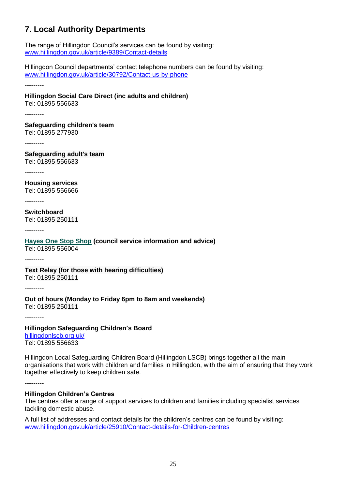# **7. Local Authority Departments**

The range of Hillingdon Council's services can be found by visiting: [www.hillingdon.gov.uk/article/9389/Contact-details](http://www.hillingdon.gov.uk/article/9389/Contact-details)

Hillingdon Council departments' contact telephone numbers can be found by visiting: [www.hillingdon.gov.uk/article/30792/Contact-us-by-phone](http://www.hillingdon.gov.uk/article/30792/Contact-us-by-phone)

---------

# **Hillingdon Social Care Direct (inc adults and children)**

Tel: 01895 556633

---------

**Safeguarding children's team** Tel: 01895 277930

---------

**Safeguarding adult's team** Tel: 01895 556633

---------

**Housing services** Tel: 01895 556666

---------

**Switchboard** Tel: 01895 250111

---------

#### **Hayes [One Stop Shop](https://www.hillingdon.gov.uk/oss) (council service information and advice)** Tel: 01895 556004

---------

### **Text Relay (for those with hearing difficulties)** Tel: 01895 250111

---------

#### **Out of hours (Monday to Friday 6pm to 8am and weekends)** Tel: 01895 250111

---------

### **Hillingdon Safeguarding Children's Board** [hillingdonlscb.org.uk/](https://hillingdonlscb.org.uk/)

Tel: 01895 556633

Hillingdon Local Safeguarding Children Board (Hillingdon LSCB) brings together all the main organisations that work with children and families in Hillingdon, with the aim of ensuring that they work together effectively to keep children safe.

---------

# **Hillingdon Children's Centres**

The centres offer a range of support services to children and families including specialist services tackling domestic abuse.

A full list of addresses and contact details for the children's centres can be found by visiting: [www.hillingdon.gov.uk/article/25910/Contact-details-for-Children-centres](http://www.hillingdon.gov.uk/article/25910/Contact-details-for-Children-centres)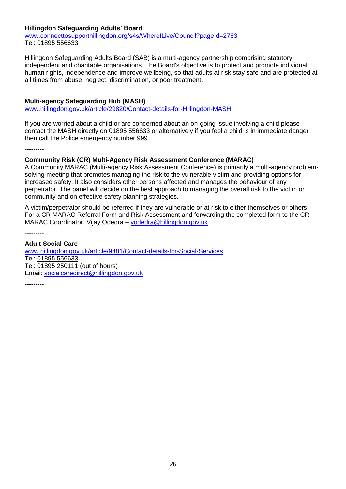# **Hillingdon Safeguarding Adults' Board**

[www.connecttosupporthillingdon.org/s4s/WhereILive/Council?pageId=2783](http://www.connecttosupporthillingdon.org/s4s/WhereILive/Council?pageId=2783) Tel: 01895 556633

Hillingdon Safeguarding Adults Board (SAB) is a multi-agency partnership comprising statutory, independent and charitable organisations. The Board's objective is to protect and promote individual human rights, independence and improve wellbeing, so that adults at risk stay safe and are protected at all times from abuse, neglect, discrimination, or poor treatment.

---------

### **Multi-agency Safeguarding Hub (MASH)**

[www.hillingdon.gov.uk/article/29820/Contact-details-for-Hillingdon-MASH](http://www.hillingdon.gov.uk/article/29820/Contact-details-for-Hillingdon-MASH)

If you are worried about a child or are concerned about an on-going issue involving a child please contact the MASH directly on 01895 556633 or alternatively if you feel a child is in immediate danger then call the Police emergency number 999.

---------

### **Community Risk (CR) Multi-Agency Risk Assessment Conference (MARAC)**

A Community MARAC (Multi-agency Risk Assessment Conference) is primarily a multi-agency problemsolving meeting that promotes managing the risk to the vulnerable victim and providing options for increased safety. It also considers other persons affected and manages the behaviour of any perpetrator. The panel will decide on the best approach to managing the overall risk to the victim or community and on effective safety planning strategies.

A victim/perpetrator should be referred if they are vulnerable or at risk to either themselves or others. For a CR MARAC Referral Form and Risk Assessment and forwarding the completed form to the CR MARAC Coordinator, Vijay Odedra – [vodedra@hillingdon.gov.uk](mailto:vodedra@hillingdon.gov.uk)

---------

#### **Adult Social Care**

[www.hillingdon.gov.uk/article/9481/Contact-details-for-Social-Services](http://www.hillingdon.gov.uk/article/9481/Contact-details-for-Social-Services) Tel: [01895 556633](tel:01895556633) Tel: [01895 250111](tel:01895250111) (out of hours) Email: [socialcaredirect@hillingdon.gov.uk](mailto:socialcaredirect@hillingdon.gov.uk)

---------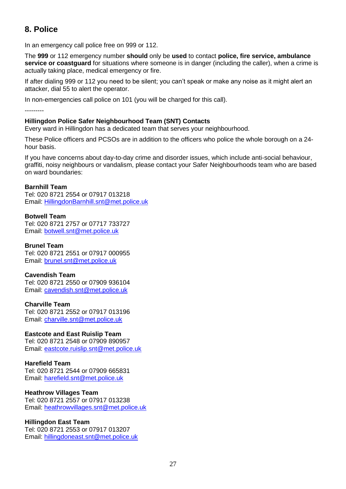# **8. Police**

In an emergency call police free on 999 or 112.

The **999** or 112 emergency number **should** only be **used** to contact **police, fire service, ambulance service or coastguard** for situations where someone is in danger (including the caller), when a crime is actually taking place, medical emergency or fire.

If after dialing 999 or 112 you need to be silent; you can't speak or make any noise as it might alert an attacker, dial 55 to alert the operator.

In non-emergencies call police on 101 (you will be charged for this call).

---------

# **Hillingdon Police Safer Neighbourhood Team (SNT) Contacts**

Every ward in Hillingdon has a dedicated team that serves your neighbourhood.

These Police officers and PCSOs are in addition to the officers who police the whole borough on a 24 hour basis.

If you have concerns about day-to-day crime and disorder issues, which include anti-social behaviour, graffiti, noisy neighbours or vandalism, please contact your Safer Neighbourhoods team who are based on ward boundaries:

# **Barnhill Team**

Tel: 020 8721 2554 or 07917 013218 Email: [HillingdonBarnhill.snt@met.police.uk](mailto:HillingdonBarnhill.snt@met.police.uk)

**Botwell Team** Tel: 020 8721 2757 or 07717 733727 Email: [botwell.snt@met.police.uk](mailto:botwell.snt@met.police.uk)

### **Brunel Team**

Tel: 020 8721 2551 or 07917 000955 Email: [brunel.snt@met.police.uk](mailto:brunel.snt@met.police.uk)

### **Cavendish Team**

Tel: 020 8721 2550 or 07909 936104 Email: [cavendish.snt@met.police.uk](mailto:cavendish.snt@met.police.uk)

### **Charville Team**

Tel: 020 8721 2552 or 07917 013196 Email: [charville.snt@met.police.uk](mailto:charville.snt@met.police.uk)

### **Eastcote and East Ruislip Team**

Tel: 020 8721 2548 or 07909 890957 Email: [eastcote.ruislip.snt@met.police.uk](mailto:eastcote.ruislip.snt@met.police.uk)

### **Harefield Team**

Tel: 020 8721 2544 or 07909 665831 Email: [harefield.snt@met.police.uk](mailto:harefield.snt@met.police.uk)

### **Heathrow Villages Team**

Tel: 020 8721 2557 or 07917 013238 Email: [heathrowvillages.snt@met.police.uk](mailto:heathrowvillages.snt@met.police.uk)

### **Hillingdon East Team**

Tel: 020 8721 2553 or 07917 013207 Email: [hillingdoneast.snt@met.police.uk](mailto:hillingdoneast.snt@met.police.uk)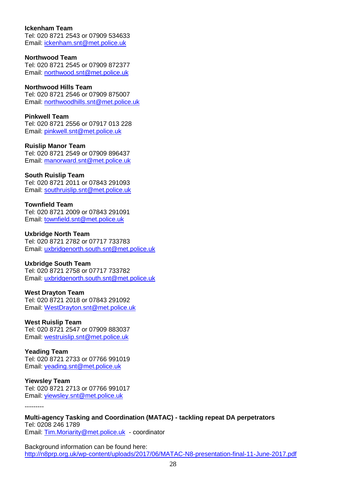### **Ickenham Team**

Tel: 020 8721 2543 or 07909 534633 Email: [ickenham.snt@met.police.uk](mailto:ickenham.snt@met.police.uk)

### **Northwood Team**

Tel: 020 8721 2545 or 07909 872377 Email: [northwood.snt@met.police.uk](mailto:northwood.snt@met.police.uk)

### **Northwood Hills Team**

Tel: 020 8721 2546 or 07909 875007 Email: [northwoodhills.snt@met.police.uk](mailto:northwoodhills.snt@met.police.uk)

# **Pinkwell Team**

Tel: 020 8721 2556 or 07917 013 228 Email: [pinkwell.snt@met.police.uk](mailto:pinkwell.snt@met.police.uk)

### **Ruislip Manor Team**

Tel: 020 8721 2549 or 07909 896437 Email: [manorward.snt@met.police.uk](mailto:manorward.snt@met.police.uk)

# **South Ruislip Team**

Tel: 020 8721 2011 or 07843 291093 Email: [southruislip.snt@met.police.uk](mailto:southruislip.snt@met.police.uk)

# **Townfield Team**

Tel: 020 8721 2009 or 07843 291091 Email: [townfield.snt@met.police.uk](mailto:townfield.snt@met.police.uk)

# **Uxbridge North Team**

Tel: 020 8721 2782 or 07717 733783 Email: [uxbridgenorth.south.snt@met.police.uk](mailto:uxbridgenorth.south.snt@met.police.uk)

# **Uxbridge South Team**

Tel: 020 8721 2758 or 07717 733782 Email: [uxbridgenorth.south.snt@met.police.uk](mailto:uxbridgenorth.south.snt@met.police.uk)

# **West Drayton Team**

Tel: 020 8721 2018 or 07843 291092 Email: [WestDrayton.snt@met.police.uk](mailto:WestDrayton.snt@met.police.uk)

### **West Ruislip Team**

Tel: 020 8721 2547 or 07909 883037 Email: [westruislip.snt@met.police.uk](mailto:westruislip.snt@met.police.uk)

### **Yeading Team**

Tel: 020 8721 2733 or 07766 991019 Email: [yeading.snt@met.police.uk](mailto:yeading.snt@met.police.uk)

### **Yiewsley Team**

---------

Tel: 020 8721 2713 or 07766 991017 Email: [yiewsley.snt@met.police.uk](mailto:yiewsley.snt@met.police.uk)

**Multi-agency Tasking and Coordination (MATAC) - tackling repeat DA perpetrators** Tel: 0208 246 1789 Email: [Tim.Moriarity@met.police.uk](mailto:Tim.Moriarity@met.police.uk) - coordinator

Background information can be found here: <http://n8prp.org.uk/wp-content/uploads/2017/06/MATAC-N8-presentation-final-11-June-2017.pdf>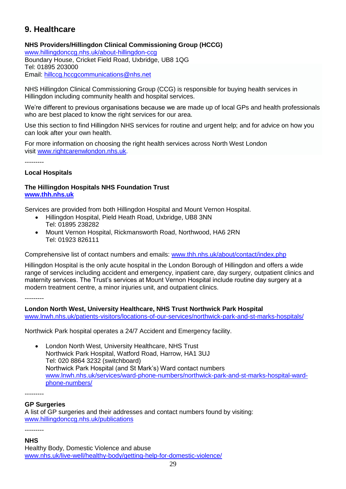# **9. Healthcare**

# **NHS Providers/Hillingdon Clinical Commissioning Group (HCCG)**

[www.hillingdonccg.nhs.uk/about-hillingdon-ccg](http://www.hillingdonccg.nhs.uk/about-hillingdon-ccg) Boundary House, Cricket Field Road, Uxbridge, UB8 1QG Tel: 01895 203000 Email: [hillccg.hccgcommunications@nhs.net](mailto:hillccg.hccgcommunications@nhs.net)

NHS Hillingdon Clinical Commissioning Group (CCG) is responsible for buying health services in Hillingdon including community health and hospital services.

We're different to previous organisations because we are made up of local GPs and health professionals who are best placed to know the right services for our area.

Use this section to find Hillingdon NHS services for routine and urgent help; and for advice on how you can look after your own health.

For more information on choosing the right health services across North West London visit [www.rightcarenwlondon.nhs.uk.](http://www.rightcarenwlondon.nhs.uk/)

---------

# **Local Hospitals**

# **The Hillingdon Hospitals NHS Foundation Trust [www.thh.nhs.uk](http://www.thh.nhs.uk/)**

Services are provided from both Hillingdon Hospital and Mount Vernon Hospital.

- [Hillingdon Hospital,](https://www.thh.nhs.uk/about/travel/gethill.php) Pield Heath Road, Uxbridge, UB8 3NN Tel: 01895 238282
- [Mount Vernon Hospital,](https://www.thh.nhs.uk/about/travel/getMV.php) Rickmansworth Road, Northwood, HA6 2RN Tel: 01923 826111

Comprehensive list of contact numbers and emails: [www.thh.nhs.uk/about/contact/index.php](http://www.thh.nhs.uk/about/contact/index.php)

Hillingdon Hospital is the only acute hospital in the London Borough of Hillingdon and offers a wide range of services including accident and emergency, inpatient care, day surgery, outpatient clinics and maternity services. The Trust's services at Mount Vernon Hospital include routine day surgery at a modern treatment centre, a minor injuries unit, and outpatient clinics.

---------

**London North West, University Healthcare, NHS Trust Northwick Park Hospital**  [www.lnwh.nhs.uk/patients-visitors/locations-of-our-services/northwick-park-and-st-marks-hospitals/](http://www.lnwh.nhs.uk/patients-visitors/locations-of-our-services/northwick-park-and-st-marks-hospitals/)

Northwick Park hospital operates a 24/7 Accident and Emergency facility.

 London North West, University Healthcare, NHS Trust Northwick Park Hospital, Watford Road, Harrow, HA1 3UJ Tel: 020 8864 3232 (switchboard) Northwick Park Hospital (and St Mark's) Ward contact numbers [www.lnwh.nhs.uk/services/ward-phone-numbers/northwick-park-and-st-marks-hospital-ward](http://www.lnwh.nhs.uk/services/ward-phone-numbers/northwick-park-and-st-marks-hospital-ward-phone-numbers/)[phone-numbers/](http://www.lnwh.nhs.uk/services/ward-phone-numbers/northwick-park-and-st-marks-hospital-ward-phone-numbers/)

---------

# **GP Surgeries**

A list of GP surgeries and their addresses and contact numbers found by visiting: [www.hillingdonccg.nhs.uk/publications](http://www.hillingdonccg.nhs.uk/publications)

# ---------

### **NHS**

Healthy Body, Domestic Violence and abuse [www.nhs.uk/live-well/healthy-body/getting-help-for-domestic-violence/](http://www.nhs.uk/live-well/healthy-body/getting-help-for-domestic-violence/)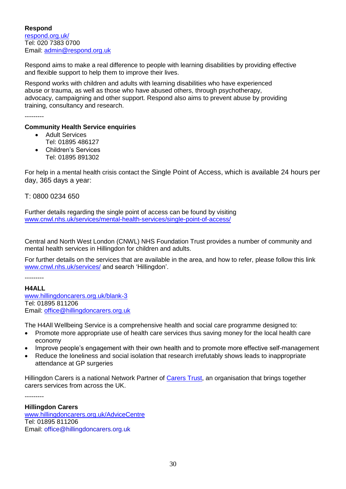**Respond** [respond.org.uk/](http://respond.org.uk/) Tel: 020 7383 0700 Email: [admin@respond.org.uk](mailto:admin@respond.org.uk)

Respond aims to make a real difference to people with learning disabilities by providing effective and flexible support to help them to improve their lives.

Respond works with children and adults with learning disabilities who have experienced abuse or trauma, as well as those who have abused others, through psychotherapy, advocacy, campaigning and other support. Respond also aims to prevent abuse by providing training, consultancy and research.

---------

### **Community Health Service enquiries**

- Adult Services
- Tel: 01895 486127
- Children's Services Tel: 01895 891302

For help in a mental health crisis contact the Single Point of Access, which is available 24 hours per day, 365 days a year:

T: 0800 0234 650

Further details regarding the single point of access can be found by visiting [www.cnwl.nhs.uk/services/mental-health-services/single-point-of-access/](http://www.cnwl.nhs.uk/services/mental-health-services/single-point-of-access/)

Central and North West London (CNWL) NHS Foundation Trust provides a number of community and mental health services in Hillingdon for children and adults.

For further details on the services that are available in the area, and how to refer, please follow this link [www.cnwl.nhs.uk/services/](http://www.cnwl.nhs.uk/services/) and search 'Hillingdon'.

---------

**H4ALL** [www.hillingdoncarers.org.uk/blank-3](http://www.hillingdoncarers.org.uk/blank-3) Tel: 01895 811206 Email: [office@hillingdoncarers.org.uk](mailto:office@hillingdoncarers.org.uk)

The H4All Wellbeing Service is a comprehensive health and social care programme designed to:

- Promote more appropriate use of health care services thus saving money for the local health care economy
- Improve people's engagement with their own health and to promote more effective self-management
- Reduce the loneliness and social isolation that research irrefutably shows leads to inappropriate attendance at GP surgeries

Hillingdon [Carers](http://www.carers.org/) is a national Network Partner of Carers Trust, an organisation that brings together carers services from across the UK.

---------

**Hillingdon Carers**

[www.hillingdoncarers.org.uk/AdviceCentre](http://www.hillingdoncarers.org.uk/AdviceCentre) Tel: 01895 811206 Email: office@hillingdoncarers.org.uk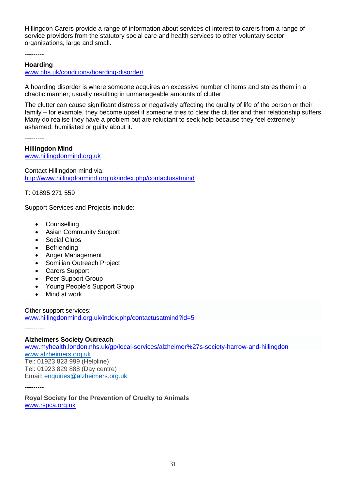Hillingdon Carers provide a range of information about services of interest to carers from a range of service providers from the statutory social care and health services to other voluntary sector organisations, large and small.

---------

### **Hoarding**

[www.nhs.uk/conditions/hoarding-disorder/](http://www.nhs.uk/conditions/hoarding-disorder/)

A hoarding disorder is where someone acquires an excessive number of items and stores them in a chaotic manner, usually resulting in unmanageable amounts of clutter.

The clutter can cause significant distress or negatively affecting the quality of life of the person or their family – for example, they become upset if someone tries to clear the clutter and their relationship suffers Many do realise they have a problem but are reluctant to seek help because they feel extremely ashamed, humiliated or guilty about it.

---------

### **Hillingdon Mind**

[www.hillingdonmind.org.uk](http://www.hillingdonmind.org.uk/)

Contact Hillingdon mind via: <http://www.hillingdonmind.org.uk/index.php/contactusatmind>

T: 01895 271 559

Support Services and Projects include:

- Counselling
- Asian Community Support
- Social Clubs
- Befriending
- Anger Management
- Somilian Outreach Project
- Carers Support
- Peer Support Group
- Young People's Support Group
- Mind at work

Other support services:

[www.hillingdonmind.org.uk/index.php/contactusatmind?id=5](http://www.hillingdonmind.org.uk/index.php/contactusatmind?id=5)

---------

### **Alzheimers Society Outreach**

[www.myhealth.london.nhs.uk/gp/local-services/alzheimer%27s-society-harrow-and-hillingdon](http://www.myhealth.london.nhs.uk/gp/local-services/alzheimer%27s-society-harrow-and-hillingdon) [www.alzheimers.org.uk](http://www.alzheimers.org.uk/) Tel: 01923 823 999 (Helpline) Tel: 01923 829 888 (Day centre) Email: [enquiries@alzheimers.org.uk](mailto:enquiries@alzheimers.org.uk)

---------

**Royal Society for the Prevention of Cruelty to Animals** [www.rspca.org.uk](http://www.rspca.org.uk/)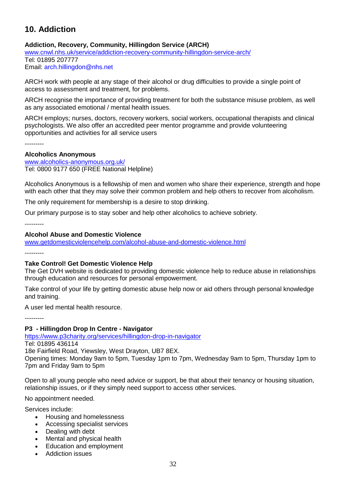# **10. Addiction**

# **Addiction, Recovery, Community, Hillingdon Service (ARCH)**

[www.cnwl.nhs.uk/service/addiction-recovery-community-hillingdon-service-arch/](http://www.cnwl.nhs.uk/service/addiction-recovery-community-hillingdon-service-arch/) Tel: 01895 207777

Email: [arch.hillingdon@nhs.net](mailto:arch.hillingdon@nhs.net)

ARCH work with people at any stage of their alcohol or drug difficulties to provide a single point of access to assessment and treatment, for problems.

ARCH recognise the importance of providing treatment for both the substance misuse problem, as well as any associated emotional / mental health issues.

ARCH employs; nurses, doctors, recovery workers, social workers, occupational therapists and clinical psychologists. We also offer an accredited peer mentor programme and provide volunteering opportunities and activities for all service users

---------

### **Alcoholics Anonymous**

[www.alcoholics-anonymous.org.uk/](http://www.alcoholics-anonymous.org.uk/) Tel: 0800 9177 650 (FREE National Helpline)

Alcoholics Anonymous is a fellowship of men and women who share their experience, strength and hope with each other that they may solve their common problem and help others to recover from alcoholism.

The only requirement for membership is a desire to stop drinking.

Our primary purpose is to stay sober and help other alcoholics to achieve sobriety.

---------

### **Alcohol Abuse and Domestic Violence**

[www.getdomesticviolencehelp.com/alcohol-abuse-and-domestic-violence.html](http://www.getdomesticviolencehelp.com/alcohol-abuse-and-domestic-violence.html)

---------

#### **Take Control! Get Domestic Violence Help**

The Get DVH website is dedicated to providing domestic violence help to reduce abuse in relationships through education and resources for personal empowerment.

Take control of your life by getting domestic abuse help now or aid others through personal knowledge and training.

A user led mental health resource.

---------

### **P3 - Hillingdon Drop In Centre - Navigator**

<https://www.p3charity.org/services/hillingdon-drop-in-navigator> Tel: 01895 436114

18e Fairfield Road, Yiewsley, West Drayton, UB7 8EX.

Opening times: Monday 9am to 5pm, Tuesday 1pm to 7pm, Wednesday 9am to 5pm, Thursday 1pm to 7pm and Friday 9am to 5pm

Open to all young people who need advice or support, be that about their tenancy or housing situation, relationship issues, or if they simply need support to access other services.

No appointment needed.

Services include:

- Housing and homelessness
- Accessing specialist services
- Dealing with debt
- Mental and physical health
- Education and employment
- Addiction issues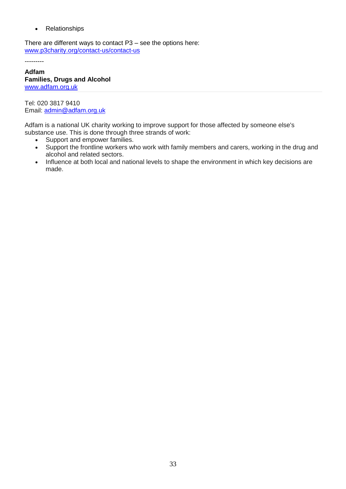• Relationships

There are different ways to contact P3 – see the options here: [www.p3charity.org/contact-us/contact-us](http://www.p3charity.org/contact-us/contact-us)

---------

**Adfam Families, Drugs and Alcohol** [www.adfam.org.uk](http://www.adfam.org.uk/)

Tel: 020 3817 9410 Email: [admin@adfam.org.uk](mailto:admin@adfam.org.uk)

Adfam is a national UK charity working to improve support for those affected by someone else's substance use. This is done through three strands of work:

- Support and empower families.
- Support the frontline workers who work with family members and carers, working in the drug and alcohol and related sectors.
- Influence at both local and national levels to shape the environment in which key decisions are made.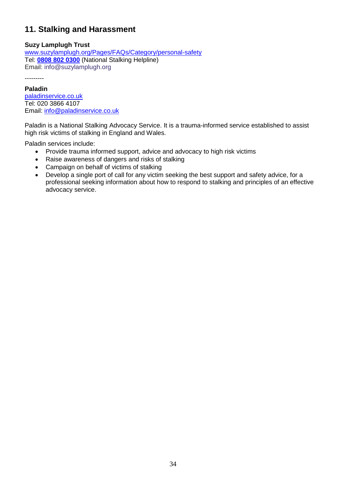# **11. Stalking and Harassment**

# **Suzy Lamplugh Trust**

[www.suzylamplugh.org/Pages/FAQs/Category/personal-safety](http://www.suzylamplugh.org/Pages/FAQs/Category/personal-safety) Tel: **[0808 802 0300](tel:08088020300)** (National Stalking Helpline) Email: [info@suzylamplugh.org](mailto:info@suzylamplugh.org)

---------

### **Paladin**

[paladinservice.co.uk](https://paladinservice.co.uk/) Tel: 020 3866 4107 Email: [info@paladinservice.co.uk](mailto:info@paladinservice.co.uk)

Paladin is a National Stalking Advocacy Service. It is a trauma-informed service established to assist high risk victims of stalking in England and Wales.

Paladin services include:

- Provide trauma informed support, advice and advocacy to high risk victims
- Raise awareness of dangers and risks of stalking
- Campaign on behalf of victims of stalking
- Develop a single port of call for any victim seeking the best support and safety advice, for a professional seeking information about how to respond to stalking and principles of an effective advocacy service.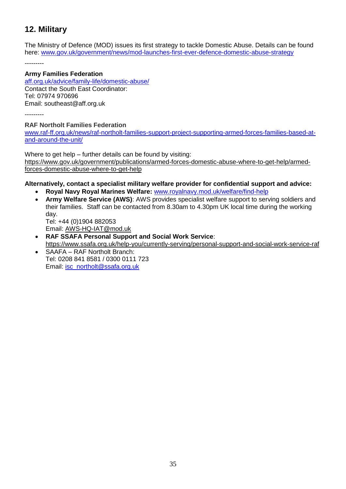# **12. Military**

The Ministry of Defence (MOD) issues its first strategy to tackle Domestic Abuse. Details can be found here: [www.gov.uk/government/news/mod-launches-first-ever-defence-domestic-abuse-strategy](http://www.gov.uk/government/news/mod-launches-first-ever-defence-domestic-abuse-strategy)

---------

### **Army Families Federation**

[aff.org.uk/advice/family-life/domestic-abuse/](https://aff.org.uk/advice/family-life/domestic-abuse/) Contact the South East Coordinator: Tel: 07974 970696 Email: [southeast@aff.org.uk](mailto:southeast@aff.org.uk)

---------

# **RAF Northolt Families Federation**

[www.raf-ff.org.uk/news/raf-northolt-families-support-project-supporting-armed-forces-families-based-at](http://www.raf-ff.org.uk/news/raf-northolt-families-support-project-supporting-armed-forces-families-based-at-and-around-the-unit/)[and-around-the-unit/](http://www.raf-ff.org.uk/news/raf-northolt-families-support-project-supporting-armed-forces-families-based-at-and-around-the-unit/)

Where to get help – further details can be found by visiting: [https://www.gov.uk/government/publications/armed-forces-domestic-abuse-where-to-get-help/armed](https://www.gov.uk/government/publications/armed-forces-domestic-abuse-where-to-get-help/armed-forces-domestic-abuse-where-to-get-help)[forces-domestic-abuse-where-to-get-help](https://www.gov.uk/government/publications/armed-forces-domestic-abuse-where-to-get-help/armed-forces-domestic-abuse-where-to-get-help)

# **Alternatively, contact a specialist military welfare provider for confidential support and advice:**

- **Royal Navy Royal Marines Welfare:** [www.royalnavy.mod.uk/welfare/find-help](http://www.royalnavy.mod.uk/welfare/find-help)
- **Army Welfare Service (AWS)**: AWS provides specialist welfare support to serving soldiers and their families. Staff can be contacted from 8.30am to 4.30pm UK local time during the working day.

Tel: +44 (0)1904 882053 Email: [AWS-HQ-IAT@mod.uk](mailto:AWS-HQ-AWS%20IAT@MOD.UK)

- **RAF SSAFA Personal Support and Social Work Service**:
- <https://www.ssafa.org.uk/help-you/currently-serving/personal-support-and-social-work-service-raf> SAAFA – RAF Northolt Branch:
- Tel: 0208 841 8581 / 0300 0111 723 Email: [isc\\_northolt@ssafa.org.uk](mailto:isc_northolt@ssafa.org.uk)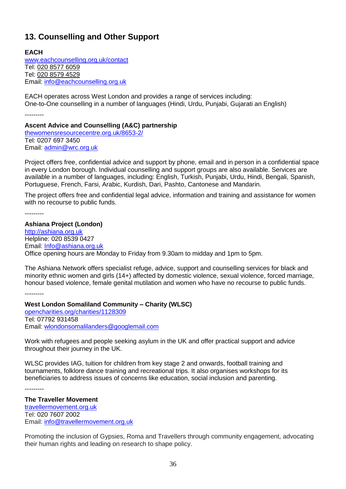# **13. Counselling and Other Support**

**EACH**  [www.eachcounselling.org.uk/contact](http://www.eachcounselling.org.uk/contact) Tel: [020 8577 6059](tel:020%208577%206059) Tel: [020 8579 4529](tel:020%208579%204529) Email: [info@eachcounselling.org.uk](mailto:info@eachcounselling.org.uk)

EACH operates across West London and provides a range of services including: One-to-One counselling in a number of languages (Hindi, Urdu, Punjabi, Gujarati an English)

---------

### **Ascent Advice and Counselling (A&C) partnership**

[thewomensresourcecentre.org.uk/8653-2/](https://thewomensresourcecentre.org.uk/8653-2/) Tel: 0207 697 3450 Email: [admin@wrc.org.uk](mailto:admin@wrc.org.uk)

Project offers free, confidential advice and support by phone, email and in person in a confidential space in every London borough. Individual counselling and support groups are also available. Services are available in a number of languages, including: English, Turkish, Punjabi, Urdu, Hindi, Bengali, Spanish, Portuguese, French, Farsi, Arabic, Kurdish, Dari, Pashto, Cantonese and Mandarin.

The project offers free and confidential legal advice, information and training and assistance for women with no recourse to public funds.

---------

### **Ashiana Project (London)**

[http://ashiana.org.uk](http://ashiana.org.uk/) Helpline: 020 8539 0427 Email: [Info@ashiana.org.uk](mailto:Info@ashiana.org.uk) Office opening hours are Monday to Friday from 9.30am to midday and 1pm to 5pm.

The Ashiana Network offers specialist refuge, advice, support and counselling services for black and minority ethnic women and girls (14+) affected by domestic violence, sexual violence, forced marriage, honour based violence, female genital mutilation and women who have no recourse to public funds.

---------

# **West London Somaliland Community – Charity (WLSC)**

[opencharities.org/charities/1128309](http://opencharities.org/charities/1128309) Tel: 07792 931458 Email: [wlondonsomalilanders@googlemail.com](mailto:wlondonsomalilanders@googlemail.com)

Work with refugees and people seeking asylum in the UK and offer practical support and advice throughout their journey in the UK.

WLSC provides IAG, tuition for children from key stage 2 and onwards, football training and tournaments, folklore dance training and recreational trips. It also organises workshops for its beneficiaries to address issues of concerns like education, social inclusion and parenting.

---------

# **The Traveller Movement** [travellermovement.org.uk](https://travellermovement.org.uk/) Tel: 020 [7607](tel:/02076072002) 2002

Email: [info@travellermovement.org.uk](mailto:info@travellermovement.org.uk)

Promoting the inclusion of Gypsies, Roma and Travellers through community engagement, advocating their human rights and leading on research to shape policy.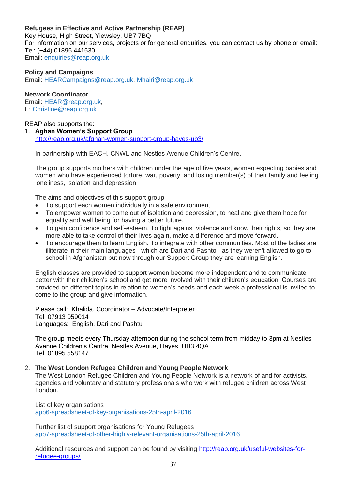# **Refugees in Effective and Active Partnership (REAP)**

Key House, High Street, Yiewsley, UB7 7BQ For information on our services, projects or for general enquiries, you can contact us by phone or email: Tel: (+44) 01895 441530 Email: [enquiries@reap.org.uk](mailto:enquiries@reap.org.uk)

### **Policy and Campaigns**

Email: [HEARCampaigns@reap.org.uk,](mailto:sarah@reap.org.uk) [Mhairi@reap.org.uk](mailto:sarah@reap.org.uk)

### **Network Coordinator**

Email: [HEAR@reap.org.uk,](mailto:sarah@reap.org.uk) E: [Christine@reap.org.uk](mailto:sarah@reap.org.uk)

## REAP also supports the:

1. **Aghan Women's Support Group** <http://reap.org.uk/afghan-women-support-group-hayes-ub3/>

In partnership with EACH, CNWL and Nestles Avenue Children's Centre.

The group supports mothers with children under the age of five years, women expecting babies and women who have experienced torture, war, poverty, and losing member(s) of their family and feeling loneliness, isolation and depression.

The aims and objectives of this support group:

- To support each women individually in a safe environment.
- To empower women to come out of isolation and depression, to heal and give them hope for equality and well being for having a better future.
- To gain confidence and self-esteem. To fight against violence and know their rights, so they are more able to take control of their lives again, make a difference and move forward.
- To encourage them to learn English. To integrate with other communities. Most of the ladies are illiterate in their main languages - which are Dari and Pashto - as they weren't allowed to go to school in Afghanistan but now through our Support Group they are learning English.

English classes are provided to support women become more independent and to communicate better with their children's school and get more involved with their children's education. Courses are provided on different topics in relation to women's needs and each week a professional is invited to come to the group and give information.

Please call: Khalida, Coordinator – Advocate/Interpreter Tel: 07913 059014 Languages: English, Dari and Pashtu

The group meets every Thursday afternoon during the school term from midday to 3pm at Nestles Avenue Children's Centre, Nestles Avenue, Hayes, UB3 4QA Tel: 01895 558147

### 2. **The West London Refugee Children and Young People Network**

The West London Refugee Children and Young People Network is a network of and for activists, agencies and voluntary and statutory professionals who work with refugee children across West London.

List of key organisations [app6-spreadsheet-of-key-organisations-25th-april-2016](http://reap.org.uk/wp-content/uploads/2016/10/App6-Spreadsheet-of-Key-Organisations-25th-April-2016.xls)

Further list of support organisations for Young Refugees [app7-spreadsheet-of-other-highly-relevant-organisations-25th-april-2016](http://reap.org.uk/wp-content/uploads/2016/10/App7-Spreadsheet-of-Other-Highly-Relevant-Organisations-25th-April-2016.xls)

Additional resources and support can be found by visiting [http://reap.org.uk/useful-websites-for](http://reap.org.uk/useful-websites-for-refugee-groups/)[refugee-groups/](http://reap.org.uk/useful-websites-for-refugee-groups/)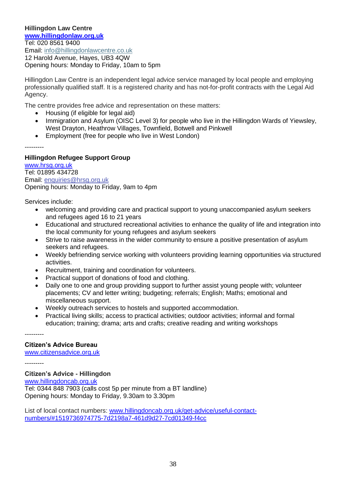### **Hillingdon Law Centre [www.hillingdonlaw.org.uk](http://www.hillingdonlaw.org.uk/)** Tel: 020 8561 9400 Email: [info@hillingdonlawcentre.co.uk](mailto:info@hillingdonlawcentre.co.uk) 12 Harold Avenue, Hayes, UB3 4QW Opening hours: Monday to Friday, 10am to 5pm

Hillingdon Law Centre is an independent legal advice service managed by local people and employing professionally qualified staff. It is a registered charity and has not-for-profit contracts with the Legal Aid Agency.

The centre provides free advice and representation on these matters:

- Housing (if eligible for legal aid)
- Immigration and Asylum (OISC Level 3) for people who live in the Hillingdon Wards of Yiewsley, West Drayton, Heathrow Villages, Townfield, Botwell and Pinkwell
- Employment (free for people who live in West London)

---------

# **Hillingdon Refugee Support Group**

[www.hrsg.org.uk](http://www.hrsg.org.uk/) Tel: 01895 434728 Email: [enquiries@hrsg.org.uk](mailto:enquiries@hrsg.org.uk) Opening hours: Monday to Friday, 9am to 4pm

Services include:

- welcoming and providing care and practical support to young unaccompanied asylum seekers and refugees aged 16 to 21 years
- Educational and structured recreational activities to enhance the quality of life and integration into the local community for young refugees and asylum seekers
- Strive to raise awareness in the wider community to ensure a positive presentation of asylum seekers and refugees.
- Weekly befriending service working with volunteers providing learning opportunities via structured activities.
- Recruitment, training and coordination for volunteers.
- Practical support of donations of food and clothing.
- Daily one to one and group providing support to further assist young people with; volunteer placements; CV and letter writing; budgeting; referrals; English; Maths; emotional and miscellaneous support.
- Weekly outreach services to hostels and supported accommodation.
- Practical living skills; access to practical activities; outdoor activities; informal and formal education; training; drama; arts and crafts; creative reading and writing workshops

# **Citizen's Advice Bureau**

[www.citizensadvice.org.uk](http://www.citizensadvice.org.uk/)

---------

---------

### **Citizen's Advice - Hillingdon**

[www.hillingdoncab.org.uk](http://www.hillingdoncab.org.uk/) Tel: [0344](tel:03448487903) 848 7903 (calls cost 5p per minute from a BT landline) Opening hours: Monday to Friday, 9.30am to 3.30pm

List of local contact numbers: [www.hillingdoncab.org.uk/get-advice/useful-contact](http://www.hillingdoncab.org.uk/get-advice/useful-contact-numbers/#1519736974775-7d2198a7-461d9d27-7cd01349-f4cc)[numbers/#1519736974775-7d2198a7-461d9d27-7cd01349-f4cc](http://www.hillingdoncab.org.uk/get-advice/useful-contact-numbers/#1519736974775-7d2198a7-461d9d27-7cd01349-f4cc)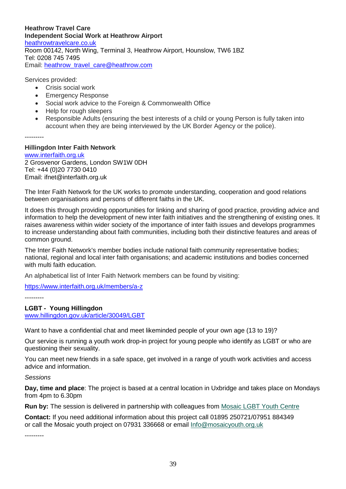**Heathrow Travel Care Independent Social Work at Heathrow Airport** [heathrowtravelcare.co.uk](http://heathrowtravelcare.co.uk/) Room 00142, North Wing, Terminal 3, Heathrow Airport, Hounslow, TW6 1BZ Tel: 0208 745 7495 Email: [heathrow\\_travel\\_care@heathrow.com](mailto:heathrow_travel_care@heathrow.com)

Services provided:

- Crisis social work
- Emergency Response
- Social work advice to the Foreign & Commonwealth Office
- Help for rough sleepers
- Responsible Adults (ensuring the best interests of a child or young Person is fully taken into account when they are being interviewed by the UK Border Agency or the police).

---------

### **Hillingdon Inter Faith Network**

[www.interfaith.org.uk](http://www.interfaith.org.uk/) 2 Grosvenor Gardens, London SW1W 0DH Tel: +44 (0)20 7730 0410 Email: [ifnet@interfaith.org.uk](mailto:ifnet@interfaith.org.uk)

The Inter Faith Network for the UK works to promote understanding, cooperation and good relations between organisations and persons of different faiths in the UK.

It does this through providing opportunities for linking and sharing of good practice, providing advice and information to help the development of new inter faith initiatives and the strengthening of existing ones. It raises awareness within wider society of the importance of inter faith issues and develops programmes to increase understanding about faith communities, including both their distinctive features and areas of common ground.

The Inter Faith Network's member bodies include national faith community representative bodies; national, regional and local inter faith organisations; and academic institutions and bodies concerned with multi faith education.

An alphabetical list of Inter Faith Network members can be found by visiting:

<https://www.interfaith.org.uk/members/a-z>

---------

### **LGBT - Young Hillingdon**

[www.hillingdon.gov.uk/article/30049/LGBT](http://www.hillingdon.gov.uk/article/30049/LGBT)

Want to have a confidential chat and meet likeminded people of your own age (13 to 19)?

Our service is running a youth work drop-in project for young people who identify as LGBT or who are questioning their sexuality.

You can meet new friends in a safe space, get involved in a range of youth work activities and access advice and information.

*Sessions*

**Day, time and place**: The project is based at a central location in Uxbridge and takes place on Mondays from 4pm to 6.30pm

**Run by:** The session is delivered in partnership with colleagues from [Mosaic LGBT Youth Centre](http://www.mosaicyouth.org.uk/index.php#.Ud0--j526Jc)

**Contact:** If you need additional information about this project call 01895 250721/07951 884349 or call the Mosaic youth project on 07931 336668 or email [Info@mosaicyouth.org.uk](mailto:Info@mosaicyouth.org.uk)

---------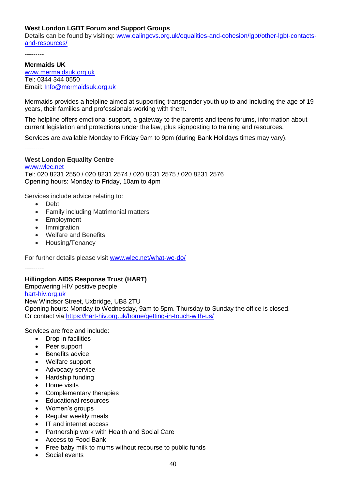# **West London LGBT Forum and Support Groups**

Details can be found by visiting: [www.ealingcvs.org.uk/equalities-and-cohesion/lgbt/other-lgbt-contacts](http://www.ealingcvs.org.uk/equalities-and-cohesion/lgbt/other-lgbt-contacts-and-resources/)[and-resources/](http://www.ealingcvs.org.uk/equalities-and-cohesion/lgbt/other-lgbt-contacts-and-resources/)

---------

#### **Mermaids UK**

[www.mermaidsuk.org.uk](http://www.mermaidsuk.org.uk/) Tel: 0344 344 0550 Email: [Info@mermaidsuk.org.uk](mailto:Info@mermaidsuk.org.uk)

Mermaids provides a helpline aimed at supporting transgender youth up to and including the age of 19 years, their families and professionals working with them.

The helpline offers emotional support, a gateway to the parents and teens forums, information about current legislation and protections under the law, plus signposting to training and resources.

Services are available Monday to Friday 9am to 9pm (during Bank Holidays times may vary).

---------

### **West London Equality Centre**

[www.wlec.net](http://www.wlec.net/) Tel: 020 8231 2550 / 020 8231 2574 / 020 8231 2575 / 020 8231 2576 Opening hours: Monday to Friday, 10am to 4pm

Services include advice relating to:

- Debt
- Family including Matrimonial matters
- Employment
- Immigration
- Welfare and Benefits
- Housing/Tenancy

For further details please visit [www.wlec.net/what-we-do/](http://www.wlec.net/what-we-do/)

---------

### **Hillingdon AIDS Response Trust (HART)**

Empowering HIV positive people [hart-hiv.org.uk](https://hart-hiv.org.uk/)

New Windsor Street, Uxbridge, UB8 2TU Opening hours: Monday to Wednesday, 9am to 5pm. Thursday to Sunday the office is closed. Or contact via<https://hart-hiv.org.uk/home/getting-in-touch-with-us/>

Services are free and include:

- Drop in facilities
- Peer support
- Benefits advice
- Welfare support
- Advocacy service
- Hardship funding
- Home visits
- Complementary therapies
- Educational resources
- Women's groups
- Regular weekly meals
- IT and internet access
- Partnership work with Health and Social Care
- Access to Food Bank
- Free baby milk to mums without recourse to public funds
- Social events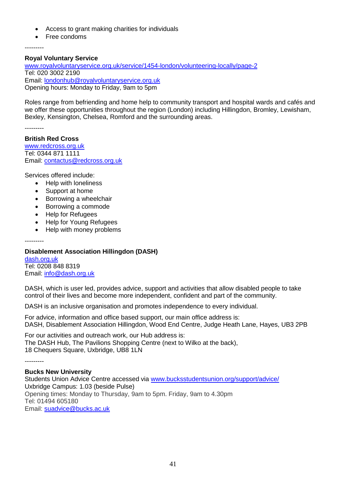- Access to grant making charities for individuals
- Free condoms

---------

### **Royal Voluntary Service**

[www.royalvoluntaryservice.org.uk/service/1454-london/volunteering-locally/page-2](http://www.royalvoluntaryservice.org.uk/service/1454-london/volunteering-locally/page-2) Tel: 020 3002 2190 Email: [londonhub@royalvoluntaryservice.org.uk](mailto:londonhub@royalvoluntaryservice.org.uk) Opening hours: Monday to Friday, 9am to 5pm

Roles range from befriending and home help to community transport and [hospital wards and cafés](http://www.royalvoluntaryservice.org.uk/volunteer/volunteering-in-hospitals) and we offer these opportunities throughout the region (London) including Hillingdon, Bromley, Lewisham, Bexley, Kensington, Chelsea, Romford and the surrounding areas.

---------

#### **British Red Cross** [www.redcross.org.uk](http://www.redcross.org.uk/) Tel: 0344 871 1111 Email: [contactus@redcross.org.uk](mailto:contactus@redcross.org.uk)

Services offered include:

- Help with loneliness
- Support at home
- Borrowing a wheelchair
- Borrowing a commode
- Help for Refugees
- Help for Young Refugees
- Help with money problems

---------

# **Disablement Association Hillingdon (DASH)**

[dash.org.uk](http://dash.org.uk/) Tel: 0208 848 8319 Email: [info@dash.org.uk](mailto:info@dash.org.uk)

DASH, which is user led, provides advice, support and activities that allow disabled people to take control of their lives and become more independent, confident and part of the community.

DASH is an inclusive organisation and promotes independence to every individual.

For advice, information and office based support, our main office address is: DASH, Disablement Association Hillingdon, Wood End Centre, Judge Heath Lane, Hayes, UB3 2PB

For our activities and outreach work, our Hub address is: The DASH Hub, The Pavilions Shopping Centre (next to Wilko at the back), 18 Chequers Square, Uxbridge, UB8 1LN

---------

# **Bucks New University**

Students Union Advice Centre accessed via [www.bucksstudentsunion.org/support/advice/](http://www.bucksstudentsunion.org/support/advice/) Uxbridge Campus: 1.03 (beside Pulse) Opening times: Monday to Thursday, 9am to 5pm. Friday, 9am to 4.30pm Tel: 01494 605180 Email: [suadvice@bucks.ac.uk](mailto:suadvice@bucks.ac.uk)